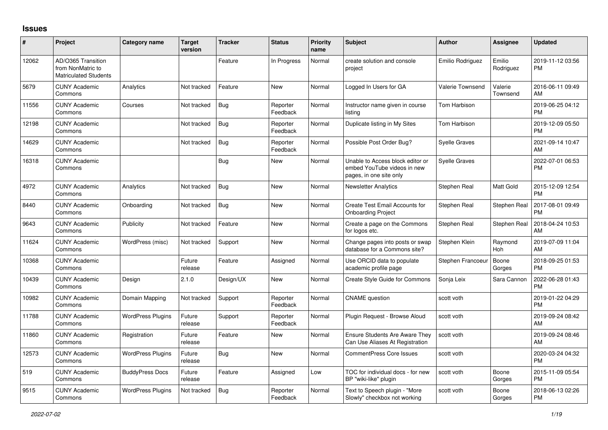## **Issues**

| #     | Project                                                                 | Category name            | <b>Target</b><br>version | <b>Tracker</b> | <b>Status</b>        | <b>Priority</b><br>name | <b>Subject</b>                                                                             | <b>Author</b>        | <b>Assignee</b>       | <b>Updated</b>                |
|-------|-------------------------------------------------------------------------|--------------------------|--------------------------|----------------|----------------------|-------------------------|--------------------------------------------------------------------------------------------|----------------------|-----------------------|-------------------------------|
| 12062 | AD/O365 Transition<br>from NonMatric to<br><b>Matriculated Students</b> |                          |                          | Feature        | In Progress          | Normal                  | create solution and console<br>project                                                     | Emilio Rodriguez     | Emilio<br>Rodriguez   | 2019-11-12 03:56<br><b>PM</b> |
| 5679  | <b>CUNY Academic</b><br>Commons                                         | Analytics                | Not tracked              | Feature        | New                  | Normal                  | Logged In Users for GA                                                                     | Valerie Townsend     | Valerie<br>Townsend   | 2016-06-11 09:49<br>AM        |
| 11556 | <b>CUNY Academic</b><br>Commons                                         | Courses                  | Not tracked              | <b>Bug</b>     | Reporter<br>Feedback | Normal                  | Instructor name given in course<br>listing                                                 | Tom Harbison         |                       | 2019-06-25 04:12<br><b>PM</b> |
| 12198 | <b>CUNY Academic</b><br>Commons                                         |                          | Not tracked              | <b>Bug</b>     | Reporter<br>Feedback | Normal                  | Duplicate listing in My Sites                                                              | <b>Tom Harbison</b>  |                       | 2019-12-09 05:50<br><b>PM</b> |
| 14629 | <b>CUNY Academic</b><br>Commons                                         |                          | Not tracked              | Bug            | Reporter<br>Feedback | Normal                  | Possible Post Order Bug?                                                                   | <b>Syelle Graves</b> |                       | 2021-09-14 10:47<br>AM        |
| 16318 | <b>CUNY Academic</b><br>Commons                                         |                          |                          | Bug            | <b>New</b>           | Normal                  | Unable to Access block editor or<br>embed YouTube videos in new<br>pages, in one site only | <b>Syelle Graves</b> |                       | 2022-07-01 06:53<br><b>PM</b> |
| 4972  | <b>CUNY Academic</b><br>Commons                                         | Analytics                | Not tracked              | Bug            | New                  | Normal                  | <b>Newsletter Analytics</b>                                                                | Stephen Real         | Matt Gold             | 2015-12-09 12:54<br><b>PM</b> |
| 8440  | <b>CUNY Academic</b><br>Commons                                         | Onboarding               | Not tracked              | Bug            | <b>New</b>           | Normal                  | Create Test Email Accounts for<br><b>Onboarding Project</b>                                | Stephen Real         | Stephen Real          | 2017-08-01 09:49<br><b>PM</b> |
| 9643  | <b>CUNY Academic</b><br>Commons                                         | Publicity                | Not tracked              | Feature        | <b>New</b>           | Normal                  | Create a page on the Commons<br>for logos etc.                                             | Stephen Real         | Stephen Real          | 2018-04-24 10:53<br>AM        |
| 11624 | <b>CUNY Academic</b><br>Commons                                         | WordPress (misc)         | Not tracked              | Support        | <b>New</b>           | Normal                  | Change pages into posts or swap<br>database for a Commons site?                            | Stephen Klein        | Raymond<br><b>Hoh</b> | 2019-07-09 11:04<br>AM        |
| 10368 | <b>CUNY Academic</b><br>Commons                                         |                          | Future<br>release        | Feature        | Assigned             | Normal                  | Use ORCID data to populate<br>academic profile page                                        | Stephen Francoeur    | Boone<br>Gorges       | 2018-09-25 01:53<br><b>PM</b> |
| 10439 | <b>CUNY Academic</b><br>Commons                                         | Design                   | 2.1.0                    | Design/UX      | <b>New</b>           | Normal                  | Create Style Guide for Commons                                                             | Sonja Leix           | Sara Cannon           | 2022-06-28 01:43<br><b>PM</b> |
| 10982 | <b>CUNY Academic</b><br>Commons                                         | Domain Mapping           | Not tracked              | Support        | Reporter<br>Feedback | Normal                  | <b>CNAME</b> question                                                                      | scott voth           |                       | 2019-01-22 04:29<br><b>PM</b> |
| 11788 | <b>CUNY Academic</b><br>Commons                                         | <b>WordPress Plugins</b> | Future<br>release        | Support        | Reporter<br>Feedback | Normal                  | Plugin Request - Browse Aloud                                                              | scott voth           |                       | 2019-09-24 08:42<br>AM        |
| 11860 | <b>CUNY Academic</b><br>Commons                                         | Registration             | Future<br>release        | Feature        | <b>New</b>           | Normal                  | <b>Ensure Students Are Aware They</b><br>Can Use Aliases At Registration                   | scott voth           |                       | 2019-09-24 08:46<br>AM        |
| 12573 | <b>CUNY Academic</b><br>Commons                                         | <b>WordPress Plugins</b> | Future<br>release        | Bug            | <b>New</b>           | Normal                  | <b>CommentPress Core Issues</b>                                                            | scott voth           |                       | 2020-03-24 04:32<br><b>PM</b> |
| 519   | <b>CUNY Academic</b><br>Commons                                         | <b>BuddyPress Docs</b>   | Future<br>release        | Feature        | Assigned             | Low                     | TOC for individual docs - for new<br>BP "wiki-like" plugin                                 | scott voth           | Boone<br>Gorges       | 2015-11-09 05:54<br><b>PM</b> |
| 9515  | <b>CUNY Academic</b><br>Commons                                         | <b>WordPress Plugins</b> | Not tracked              | <b>Bug</b>     | Reporter<br>Feedback | Normal                  | Text to Speech plugin - "More<br>Slowly" checkbox not working                              | scott voth           | Boone<br>Gorges       | 2018-06-13 02:26<br><b>PM</b> |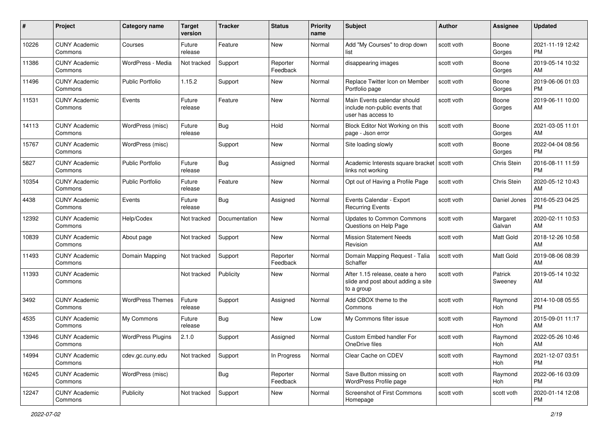| #     | Project                         | <b>Category name</b>     | <b>Target</b><br>version | <b>Tracker</b> | <b>Status</b>        | Priority<br>name | <b>Subject</b>                                                                       | <b>Author</b> | <b>Assignee</b>    | <b>Updated</b>                |
|-------|---------------------------------|--------------------------|--------------------------|----------------|----------------------|------------------|--------------------------------------------------------------------------------------|---------------|--------------------|-------------------------------|
| 10226 | <b>CUNY Academic</b><br>Commons | Courses                  | Future<br>release        | Feature        | New                  | Normal           | Add "My Courses" to drop down<br>list                                                | scott voth    | Boone<br>Gorges    | 2021-11-19 12:42<br><b>PM</b> |
| 11386 | <b>CUNY Academic</b><br>Commons | WordPress - Media        | Not tracked              | Support        | Reporter<br>Feedback | Normal           | disappearing images                                                                  | scott voth    | Boone<br>Gorges    | 2019-05-14 10:32<br>AM        |
| 11496 | <b>CUNY Academic</b><br>Commons | <b>Public Portfolio</b>  | 1.15.2                   | Support        | New                  | Normal           | Replace Twitter Icon on Member<br>Portfolio page                                     | scott voth    | Boone<br>Gorges    | 2019-06-06 01:03<br><b>PM</b> |
| 11531 | <b>CUNY Academic</b><br>Commons | Events                   | Future<br>release        | Feature        | New                  | Normal           | Main Events calendar should<br>include non-public events that<br>user has access to  | scott voth    | Boone<br>Gorges    | 2019-06-11 10:00<br>AM        |
| 14113 | <b>CUNY Academic</b><br>Commons | WordPress (misc)         | Future<br>release        | Bug            | Hold                 | Normal           | Block Editor Not Working on this<br>page - Json error                                | scott voth    | Boone<br>Gorges    | 2021-03-05 11:01<br>AM        |
| 15767 | <b>CUNY Academic</b><br>Commons | WordPress (misc)         |                          | Support        | New                  | Normal           | Site loading slowly                                                                  | scott voth    | Boone<br>Gorges    | 2022-04-04 08:56<br><b>PM</b> |
| 5827  | <b>CUNY Academic</b><br>Commons | <b>Public Portfolio</b>  | Future<br>release        | Bug            | Assigned             | Normal           | Academic Interests square bracket<br>links not working                               | l scott voth  | Chris Stein        | 2016-08-11 11:59<br><b>PM</b> |
| 10354 | <b>CUNY Academic</b><br>Commons | <b>Public Portfolio</b>  | Future<br>release        | Feature        | New                  | Normal           | Opt out of Having a Profile Page                                                     | scott voth    | Chris Stein        | 2020-05-12 10:43<br>AM        |
| 4438  | <b>CUNY Academic</b><br>Commons | Events                   | Future<br>release        | Bug            | Assigned             | Normal           | Events Calendar - Export<br><b>Recurring Events</b>                                  | scott voth    | Daniel Jones       | 2016-05-23 04:25<br><b>PM</b> |
| 12392 | <b>CUNY Academic</b><br>Commons | Help/Codex               | Not tracked              | Documentation  | New                  | Normal           | <b>Updates to Common Commons</b><br>Questions on Help Page                           | scott voth    | Margaret<br>Galvan | 2020-02-11 10:53<br>AM        |
| 10839 | <b>CUNY Academic</b><br>Commons | About page               | Not tracked              | Support        | New                  | Normal           | <b>Mission Statement Needs</b><br>Revision                                           | scott voth    | Matt Gold          | 2018-12-26 10:58<br>AM        |
| 11493 | <b>CUNY Academic</b><br>Commons | Domain Mapping           | Not tracked              | Support        | Reporter<br>Feedback | Normal           | Domain Mapping Request - Talia<br>Schaffer                                           | scott voth    | Matt Gold          | 2019-08-06 08:39<br>AM        |
| 11393 | <b>CUNY Academic</b><br>Commons |                          | Not tracked              | Publicity      | New                  | Normal           | After 1.15 release, ceate a hero<br>slide and post about adding a site<br>to a group | scott voth    | Patrick<br>Sweeney | 2019-05-14 10:32<br>AM        |
| 3492  | <b>CUNY Academic</b><br>Commons | <b>WordPress Themes</b>  | Future<br>release        | Support        | Assigned             | Normal           | Add CBOX theme to the<br>Commons                                                     | scott voth    | Raymond<br>Hoh     | 2014-10-08 05:55<br><b>PM</b> |
| 4535  | <b>CUNY Academic</b><br>Commons | My Commons               | Future<br>release        | Bug            | New                  | Low              | My Commons filter issue                                                              | scott voth    | Raymond<br>Hoh     | 2015-09-01 11:17<br>AM        |
| 13946 | <b>CUNY Academic</b><br>Commons | <b>WordPress Plugins</b> | 2.1.0                    | Support        | Assigned             | Normal           | Custom Embed handler For<br>OneDrive files                                           | scott voth    | Raymond<br>Hoh     | 2022-05-26 10:46<br>AM        |
| 14994 | <b>CUNY Academic</b><br>Commons | cdev.gc.cuny.edu         | Not tracked              | Support        | In Progress          | Normal           | Clear Cache on CDEV                                                                  | scott voth    | Raymond<br>Hoh     | 2021-12-07 03:51<br>PM        |
| 16245 | <b>CUNY Academic</b><br>Commons | WordPress (misc)         |                          | <b>Bug</b>     | Reporter<br>Feedback | Normal           | Save Button missing on<br>WordPress Profile page                                     | scott voth    | Raymond<br>Hoh     | 2022-06-16 03:09<br><b>PM</b> |
| 12247 | <b>CUNY Academic</b><br>Commons | Publicity                | Not tracked              | Support        | New                  | Normal           | <b>Screenshot of First Commons</b><br>Homepage                                       | scott voth    | scott voth         | 2020-01-14 12:08<br><b>PM</b> |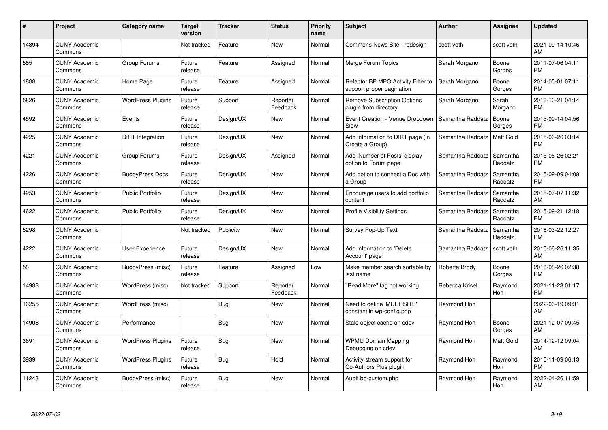| #     | Project                         | <b>Category name</b>     | Target<br>version | <b>Tracker</b> | <b>Status</b>        | Priority<br>name | <b>Subject</b>                                                  | <b>Author</b>    | <b>Assignee</b>     | <b>Updated</b>                |
|-------|---------------------------------|--------------------------|-------------------|----------------|----------------------|------------------|-----------------------------------------------------------------|------------------|---------------------|-------------------------------|
| 14394 | <b>CUNY Academic</b><br>Commons |                          | Not tracked       | Feature        | <b>New</b>           | Normal           | Commons News Site - redesign                                    | scott voth       | scott voth          | 2021-09-14 10:46<br><b>AM</b> |
| 585   | <b>CUNY Academic</b><br>Commons | Group Forums             | Future<br>release | Feature        | Assigned             | Normal           | Merge Forum Topics                                              | Sarah Morgano    | Boone<br>Gorges     | 2011-07-06 04:11<br><b>PM</b> |
| 1888  | <b>CUNY Academic</b><br>Commons | Home Page                | Future<br>release | Feature        | Assigned             | Normal           | Refactor BP MPO Activity Filter to<br>support proper pagination | Sarah Morgano    | Boone<br>Gorges     | 2014-05-01 07:11<br><b>PM</b> |
| 5826  | <b>CUNY Academic</b><br>Commons | <b>WordPress Plugins</b> | Future<br>release | Support        | Reporter<br>Feedback | Normal           | <b>Remove Subscription Options</b><br>plugin from directory     | Sarah Morgano    | Sarah<br>Morgano    | 2016-10-21 04:14<br><b>PM</b> |
| 4592  | <b>CUNY Academic</b><br>Commons | Events                   | Future<br>release | Design/UX      | New                  | Normal           | Event Creation - Venue Dropdown<br>Slow                         | Samantha Raddatz | Boone<br>Gorges     | 2015-09-14 04:56<br><b>PM</b> |
| 4225  | <b>CUNY Academic</b><br>Commons | DiRT Integration         | Future<br>release | Design/UX      | <b>New</b>           | Normal           | Add information to DIRT page (in<br>Create a Group)             | Samantha Raddatz | <b>Matt Gold</b>    | 2015-06-26 03:14<br><b>PM</b> |
| 4221  | <b>CUNY Academic</b><br>Commons | Group Forums             | Future<br>release | Design/UX      | Assigned             | Normal           | Add 'Number of Posts' display<br>option to Forum page           | Samantha Raddatz | Samantha<br>Raddatz | 2015-06-26 02:21<br><b>PM</b> |
| 4226  | <b>CUNY Academic</b><br>Commons | <b>BuddyPress Docs</b>   | Future<br>release | Design/UX      | <b>New</b>           | Normal           | Add option to connect a Doc with<br>a Group                     | Samantha Raddatz | Samantha<br>Raddatz | 2015-09-09 04:08<br><b>PM</b> |
| 4253  | <b>CUNY Academic</b><br>Commons | <b>Public Portfolio</b>  | Future<br>release | Design/UX      | New                  | Normal           | Encourage users to add portfolio<br>content                     | Samantha Raddatz | Samantha<br>Raddatz | 2015-07-07 11:32<br>AM        |
| 4622  | <b>CUNY Academic</b><br>Commons | Public Portfolio         | Future<br>release | Design/UX      | <b>New</b>           | Normal           | <b>Profile Visibility Settings</b>                              | Samantha Raddatz | Samantha<br>Raddatz | 2015-09-21 12:18<br>PM        |
| 5298  | <b>CUNY Academic</b><br>Commons |                          | Not tracked       | Publicity      | New                  | Normal           | Survey Pop-Up Text                                              | Samantha Raddatz | Samantha<br>Raddatz | 2016-03-22 12:27<br><b>PM</b> |
| 4222  | <b>CUNY Academic</b><br>Commons | <b>User Experience</b>   | Future<br>release | Design/UX      | New                  | Normal           | Add information to 'Delete<br>Account' page                     | Samantha Raddatz | scott voth          | 2015-06-26 11:35<br>AM        |
| 58    | <b>CUNY Academic</b><br>Commons | BuddyPress (misc)        | Future<br>release | Feature        | Assigned             | Low              | Make member search sortable by<br>last name                     | Roberta Brody    | Boone<br>Gorges     | 2010-08-26 02:38<br>PM.       |
| 14983 | <b>CUNY Academic</b><br>Commons | WordPress (misc)         | Not tracked       | Support        | Reporter<br>Feedback | Normal           | "Read More" tag not working                                     | Rebecca Krisel   | Raymond<br>Hoh      | 2021-11-23 01:17<br><b>PM</b> |
| 16255 | <b>CUNY Academic</b><br>Commons | WordPress (misc)         |                   | Bug            | New                  | Normal           | Need to define 'MULTISITE'<br>constant in wp-config.php         | Raymond Hoh      |                     | 2022-06-19 09:31<br><b>AM</b> |
| 14908 | <b>CUNY Academic</b><br>Commons | Performance              |                   | Bug            | New                  | Normal           | Stale object cache on cdev                                      | Raymond Hoh      | Boone<br>Gorges     | 2021-12-07 09:45<br>AM        |
| 3691  | <b>CUNY Academic</b><br>Commons | <b>WordPress Plugins</b> | Future<br>release | Bug            | New                  | Normal           | <b>WPMU Domain Mapping</b><br>Debugging on cdev                 | Raymond Hoh      | Matt Gold           | 2014-12-12 09:04<br>AM        |
| 3939  | <b>CUNY Academic</b><br>Commons | <b>WordPress Plugins</b> | Future<br>release | Bug            | Hold                 | Normal           | Activity stream support for<br>Co-Authors Plus plugin           | Raymond Hoh      | Raymond<br>Hoh      | 2015-11-09 06:13<br><b>PM</b> |
| 11243 | <b>CUNY Academic</b><br>Commons | BuddyPress (misc)        | Future<br>release | Bug            | <b>New</b>           | Normal           | Audit bp-custom.php                                             | Raymond Hoh      | Raymond<br>Hoh      | 2022-04-26 11:59<br>AM        |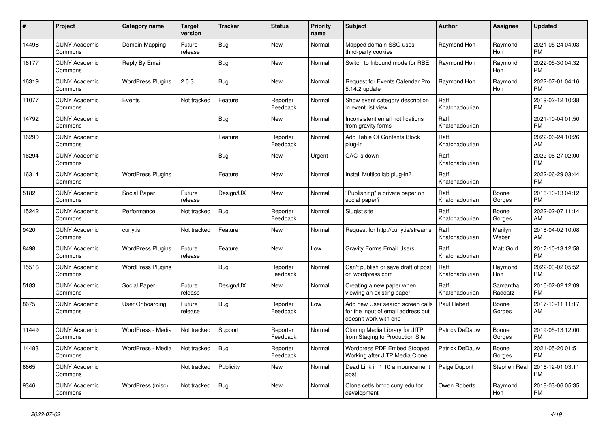| #     | Project                         | <b>Category name</b>     | <b>Target</b><br>version | <b>Tracker</b> | <b>Status</b>        | <b>Priority</b><br>name | <b>Subject</b>                                                                                  | <b>Author</b>           | Assignee            | <b>Updated</b>                |
|-------|---------------------------------|--------------------------|--------------------------|----------------|----------------------|-------------------------|-------------------------------------------------------------------------------------------------|-------------------------|---------------------|-------------------------------|
| 14496 | <b>CUNY Academic</b><br>Commons | Domain Mapping           | Future<br>release        | <b>Bug</b>     | New                  | Normal                  | Mapped domain SSO uses<br>third-party cookies                                                   | Raymond Hoh             | Raymond<br>Hoh      | 2021-05-24 04:03<br><b>PM</b> |
| 16177 | <b>CUNY Academic</b><br>Commons | Reply By Email           |                          | Bug            | New                  | Normal                  | Switch to Inbound mode for RBE                                                                  | Raymond Hoh             | Raymond<br>Hoh      | 2022-05-30 04:32<br><b>PM</b> |
| 16319 | <b>CUNY Academic</b><br>Commons | <b>WordPress Plugins</b> | 2.0.3                    | Bug            | <b>New</b>           | Normal                  | Request for Events Calendar Pro<br>5.14.2 update                                                | Raymond Hoh             | Raymond<br>Hoh      | 2022-07-01 04:16<br><b>PM</b> |
| 11077 | <b>CUNY Academic</b><br>Commons | Events                   | Not tracked              | Feature        | Reporter<br>Feedback | Normal                  | Show event category description<br>in event list view                                           | Raffi<br>Khatchadourian |                     | 2019-02-12 10:38<br><b>PM</b> |
| 14792 | <b>CUNY Academic</b><br>Commons |                          |                          | Bug            | New                  | Normal                  | Inconsistent email notifications<br>from gravity forms                                          | Raffi<br>Khatchadourian |                     | 2021-10-04 01:50<br><b>PM</b> |
| 16290 | <b>CUNY Academic</b><br>Commons |                          |                          | Feature        | Reporter<br>Feedback | Normal                  | Add Table Of Contents Block<br>plug-in                                                          | Raffi<br>Khatchadourian |                     | 2022-06-24 10:26<br>AM        |
| 16294 | <b>CUNY Academic</b><br>Commons |                          |                          | <b>Bug</b>     | <b>New</b>           | Urgent                  | CAC is down                                                                                     | Raffi<br>Khatchadourian |                     | 2022-06-27 02:00<br><b>PM</b> |
| 16314 | <b>CUNY Academic</b><br>Commons | <b>WordPress Plugins</b> |                          | Feature        | <b>New</b>           | Normal                  | Install Multicollab plug-in?                                                                    | Raffi<br>Khatchadourian |                     | 2022-06-29 03:44<br><b>PM</b> |
| 5182  | <b>CUNY Academic</b><br>Commons | Social Paper             | Future<br>release        | Design/UX      | <b>New</b>           | Normal                  | "Publishing" a private paper on<br>social paper?                                                | Raffi<br>Khatchadourian | Boone<br>Gorges     | 2016-10-13 04:12<br><b>PM</b> |
| 15242 | <b>CUNY Academic</b><br>Commons | Performance              | Not tracked              | Bug            | Reporter<br>Feedback | Normal                  | Slugist site                                                                                    | Raffi<br>Khatchadourian | Boone<br>Gorges     | 2022-02-07 11:14<br>AM        |
| 9420  | <b>CUNY Academic</b><br>Commons | cuny.is                  | Not tracked              | Feature        | <b>New</b>           | Normal                  | Request for http://cuny.is/streams                                                              | Raffi<br>Khatchadourian | Marilyn<br>Weber    | 2018-04-02 10:08<br>AM        |
| 8498  | <b>CUNY Academic</b><br>Commons | <b>WordPress Plugins</b> | Future<br>release        | Feature        | <b>New</b>           | Low                     | <b>Gravity Forms Email Users</b>                                                                | Raffi<br>Khatchadourian | Matt Gold           | 2017-10-13 12:58<br><b>PM</b> |
| 15516 | <b>CUNY Academic</b><br>Commons | <b>WordPress Plugins</b> |                          | Bug            | Reporter<br>Feedback | Normal                  | Can't publish or save draft of post<br>on wordpress.com                                         | Raffi<br>Khatchadourian | Raymond<br>Hoh      | 2022-03-02 05:52<br><b>PM</b> |
| 5183  | <b>CUNY Academic</b><br>Commons | Social Paper             | Future<br>release        | Design/UX      | New                  | Normal                  | Creating a new paper when<br>viewing an existing paper                                          | Raffi<br>Khatchadourian | Samantha<br>Raddatz | 2016-02-02 12:09<br><b>PM</b> |
| 8675  | <b>CUNY Academic</b><br>Commons | <b>User Onboarding</b>   | Future<br>release        | Bug            | Reporter<br>Feedback | Low                     | Add new User search screen calls<br>for the input of email address but<br>doesn't work with one | Paul Hebert             | Boone<br>Gorges     | 2017-10-11 11:17<br>AM        |
| 11449 | <b>CUNY Academic</b><br>Commons | WordPress - Media        | Not tracked              | Support        | Reporter<br>Feedback | Normal                  | Cloning Media Library for JITP<br>from Staging to Production Site                               | Patrick DeDauw          | Boone<br>Gorges     | 2019-05-13 12:00<br><b>PM</b> |
| 14483 | <b>CUNY Academic</b><br>Commons | WordPress - Media        | Not tracked              | Bug            | Reporter<br>Feedback | Normal                  | <b>Wordpress PDF Embed Stopped</b><br>Working after JITP Media Clone                            | Patrick DeDauw          | Boone<br>Gorges     | 2021-05-20 01:51<br><b>PM</b> |
| 6665  | <b>CUNY Academic</b><br>Commons |                          | Not tracked              | Publicity      | New                  | Normal                  | Dead Link in 1.10 announcement<br>post                                                          | Paige Dupont            | Stephen Real        | 2016-12-01 03:11<br><b>PM</b> |
| 9346  | <b>CUNY Academic</b><br>Commons | WordPress (misc)         | Not tracked              | Bug            | <b>New</b>           | Normal                  | Clone cetls.bmcc.cuny.edu for<br>development                                                    | Owen Roberts            | Raymond<br>Hoh      | 2018-03-06 05:35<br><b>PM</b> |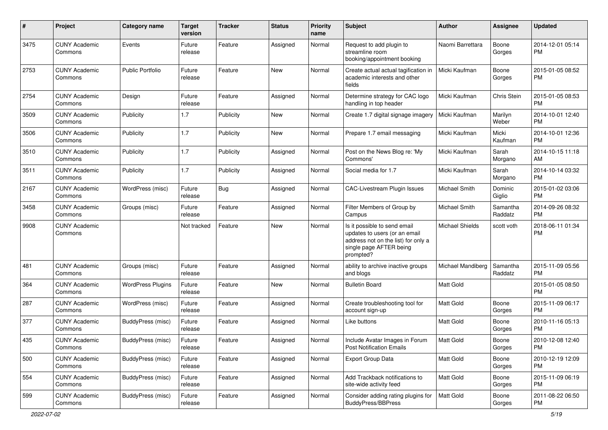| #    | Project                         | <b>Category name</b>     | <b>Target</b><br>version | <b>Tracker</b> | <b>Status</b> | <b>Priority</b><br>name | Subject                                                                                                                                      | Author                 | Assignee            | <b>Updated</b>                |
|------|---------------------------------|--------------------------|--------------------------|----------------|---------------|-------------------------|----------------------------------------------------------------------------------------------------------------------------------------------|------------------------|---------------------|-------------------------------|
| 3475 | <b>CUNY Academic</b><br>Commons | Events                   | Future<br>release        | Feature        | Assigned      | Normal                  | Request to add plugin to<br>streamline room<br>booking/appointment booking                                                                   | Naomi Barrettara       | Boone<br>Gorges     | 2014-12-01 05:14<br>PM.       |
| 2753 | <b>CUNY Academic</b><br>Commons | Public Portfolio         | Future<br>release        | Feature        | <b>New</b>    | Normal                  | Create actual actual tagification in<br>academic interests and other<br>fields                                                               | Micki Kaufman          | Boone<br>Gorges     | 2015-01-05 08:52<br>PM.       |
| 2754 | <b>CUNY Academic</b><br>Commons | Design                   | Future<br>release        | Feature        | Assigned      | Normal                  | Determine strategy for CAC logo<br>handling in top header                                                                                    | Micki Kaufman          | Chris Stein         | 2015-01-05 08:53<br><b>PM</b> |
| 3509 | <b>CUNY Academic</b><br>Commons | Publicity                | 1.7                      | Publicity      | New           | Normal                  | Create 1.7 digital signage imagery                                                                                                           | Micki Kaufman          | Marilyn<br>Weber    | 2014-10-01 12:40<br><b>PM</b> |
| 3506 | <b>CUNY Academic</b><br>Commons | Publicity                | 1.7                      | Publicity      | <b>New</b>    | Normal                  | Prepare 1.7 email messaging                                                                                                                  | Micki Kaufman          | Micki<br>Kaufman    | 2014-10-01 12:36<br><b>PM</b> |
| 3510 | <b>CUNY Academic</b><br>Commons | Publicity                | 1.7                      | Publicity      | Assigned      | Normal                  | Post on the News Blog re: 'My<br>Commons'                                                                                                    | Micki Kaufman          | Sarah<br>Morgano    | 2014-10-15 11:18<br>AM        |
| 3511 | <b>CUNY Academic</b><br>Commons | Publicity                | 1.7                      | Publicity      | Assigned      | Normal                  | Social media for 1.7                                                                                                                         | Micki Kaufman          | Sarah<br>Morgano    | 2014-10-14 03:32<br><b>PM</b> |
| 2167 | <b>CUNY Academic</b><br>Commons | WordPress (misc)         | Future<br>release        | Bug            | Assigned      | Normal                  | <b>CAC-Livestream Plugin Issues</b>                                                                                                          | Michael Smith          | Dominic<br>Giglio   | 2015-01-02 03:06<br><b>PM</b> |
| 3458 | <b>CUNY Academic</b><br>Commons | Groups (misc)            | Future<br>release        | Feature        | Assigned      | Normal                  | Filter Members of Group by<br>Campus                                                                                                         | Michael Smith          | Samantha<br>Raddatz | 2014-09-26 08:32<br><b>PM</b> |
| 9908 | <b>CUNY Academic</b><br>Commons |                          | Not tracked              | Feature        | New           | Normal                  | Is it possible to send email<br>updates to users (or an email<br>address not on the list) for only a<br>single page AFTER being<br>prompted? | <b>Michael Shields</b> | scott voth          | 2018-06-11 01:34<br><b>PM</b> |
| 481  | <b>CUNY Academic</b><br>Commons | Groups (misc)            | Future<br>release        | Feature        | Assigned      | Normal                  | ability to archive inactive groups<br>and blogs                                                                                              | Michael Mandiberg      | Samantha<br>Raddatz | 2015-11-09 05:56<br><b>PM</b> |
| 364  | <b>CUNY Academic</b><br>Commons | <b>WordPress Plugins</b> | Future<br>release        | Feature        | New           | Normal                  | <b>Bulletin Board</b>                                                                                                                        | <b>Matt Gold</b>       |                     | 2015-01-05 08:50<br><b>PM</b> |
| 287  | <b>CUNY Academic</b><br>Commons | WordPress (misc)         | Future<br>release        | Feature        | Assigned      | Normal                  | Create troubleshooting tool for<br>account sign-up                                                                                           | <b>Matt Gold</b>       | Boone<br>Gorges     | 2015-11-09 06:17<br><b>PM</b> |
| 377  | <b>CUNY Academic</b><br>Commons | BuddyPress (misc)        | Future<br>release        | Feature        | Assigned      | Normal                  | Like buttons                                                                                                                                 | <b>Matt Gold</b>       | Boone<br>Gorges     | 2010-11-16 05:13<br><b>PM</b> |
| 435  | <b>CUNY Academic</b><br>Commons | BuddyPress (misc)        | Future<br>release        | Feature        | Assigned      | Normal                  | Include Avatar Images in Forum<br><b>Post Notification Emails</b>                                                                            | Matt Gold              | Boone<br>Gorges     | 2010-12-08 12:40<br>PM        |
| 500  | <b>CUNY Academic</b><br>Commons | BuddyPress (misc)        | Future<br>release        | Feature        | Assigned      | Normal                  | Export Group Data                                                                                                                            | Matt Gold              | Boone<br>Gorges     | 2010-12-19 12:09<br>PM        |
| 554  | <b>CUNY Academic</b><br>Commons | BuddyPress (misc)        | Future<br>release        | Feature        | Assigned      | Normal                  | Add Trackback notifications to<br>site-wide activity feed                                                                                    | Matt Gold              | Boone<br>Gorges     | 2015-11-09 06:19<br><b>PM</b> |
| 599  | <b>CUNY Academic</b><br>Commons | BuddyPress (misc)        | Future<br>release        | Feature        | Assigned      | Normal                  | Consider adding rating plugins for<br>BuddyPress/BBPress                                                                                     | Matt Gold              | Boone<br>Gorges     | 2011-08-22 06:50<br>PM        |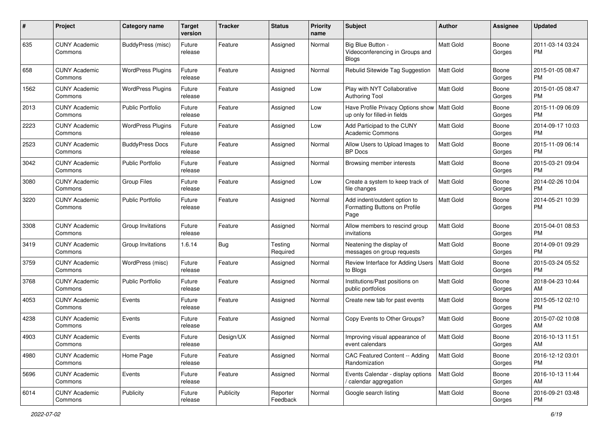| #    | Project                         | <b>Category name</b>     | <b>Target</b><br>version | <b>Tracker</b> | <b>Status</b>        | Priority<br>name | <b>Subject</b>                                                        | <b>Author</b>    | <b>Assignee</b> | <b>Updated</b>                |
|------|---------------------------------|--------------------------|--------------------------|----------------|----------------------|------------------|-----------------------------------------------------------------------|------------------|-----------------|-------------------------------|
| 635  | <b>CUNY Academic</b><br>Commons | BuddyPress (misc)        | Future<br>release        | Feature        | Assigned             | Normal           | Big Blue Button -<br>Videoconferencing in Groups and<br><b>Blogs</b>  | <b>Matt Gold</b> | Boone<br>Gorges | 2011-03-14 03:24<br>PM.       |
| 658  | <b>CUNY Academic</b><br>Commons | <b>WordPress Plugins</b> | Future<br>release        | Feature        | Assigned             | Normal           | Rebulid Sitewide Tag Suggestion                                       | <b>Matt Gold</b> | Boone<br>Gorges | 2015-01-05 08:47<br>PM.       |
| 1562 | <b>CUNY Academic</b><br>Commons | <b>WordPress Plugins</b> | Future<br>release        | Feature        | Assigned             | Low              | Play with NYT Collaborative<br><b>Authoring Tool</b>                  | <b>Matt Gold</b> | Boone<br>Gorges | 2015-01-05 08:47<br>PM.       |
| 2013 | <b>CUNY Academic</b><br>Commons | <b>Public Portfolio</b>  | Future<br>release        | Feature        | Assigned             | Low              | Have Profile Privacy Options show<br>up only for filled-in fields     | Matt Gold        | Boone<br>Gorges | 2015-11-09 06:09<br>PM.       |
| 2223 | <b>CUNY Academic</b><br>Commons | <b>WordPress Plugins</b> | Future<br>release        | Feature        | Assigned             | Low              | Add Participad to the CUNY<br><b>Academic Commons</b>                 | <b>Matt Gold</b> | Boone<br>Gorges | 2014-09-17 10:03<br>PM.       |
| 2523 | <b>CUNY Academic</b><br>Commons | <b>BuddyPress Docs</b>   | Future<br>release        | Feature        | Assigned             | Normal           | Allow Users to Upload Images to<br><b>BP</b> Docs                     | <b>Matt Gold</b> | Boone<br>Gorges | 2015-11-09 06:14<br><b>PM</b> |
| 3042 | <b>CUNY Academic</b><br>Commons | <b>Public Portfolio</b>  | Future<br>release        | Feature        | Assigned             | Normal           | Browsing member interests                                             | Matt Gold        | Boone<br>Gorges | 2015-03-21 09:04<br><b>PM</b> |
| 3080 | <b>CUNY Academic</b><br>Commons | <b>Group Files</b>       | Future<br>release        | Feature        | Assigned             | Low              | Create a system to keep track of<br>file changes                      | Matt Gold        | Boone<br>Gorges | 2014-02-26 10:04<br><b>PM</b> |
| 3220 | <b>CUNY Academic</b><br>Commons | Public Portfolio         | Future<br>release        | Feature        | Assigned             | Normal           | Add indent/outdent option to<br>Formatting Buttons on Profile<br>Page | <b>Matt Gold</b> | Boone<br>Gorges | 2014-05-21 10:39<br>PM        |
| 3308 | <b>CUNY Academic</b><br>Commons | Group Invitations        | Future<br>release        | Feature        | Assigned             | Normal           | Allow members to rescind group<br>invitations                         | Matt Gold        | Boone<br>Gorges | 2015-04-01 08:53<br>PM.       |
| 3419 | <b>CUNY Academic</b><br>Commons | Group Invitations        | 1.6.14                   | Bug            | Testing<br>Required  | Normal           | Neatening the display of<br>messages on group requests                | <b>Matt Gold</b> | Boone<br>Gorges | 2014-09-01 09:29<br><b>PM</b> |
| 3759 | <b>CUNY Academic</b><br>Commons | WordPress (misc)         | Future<br>release        | Feature        | Assigned             | Normal           | Review Interface for Adding Users<br>to Blogs                         | <b>Matt Gold</b> | Boone<br>Gorges | 2015-03-24 05:52<br><b>PM</b> |
| 3768 | <b>CUNY Academic</b><br>Commons | Public Portfolio         | Future<br>release        | Feature        | Assigned             | Normal           | Institutions/Past positions on<br>public portfolios                   | <b>Matt Gold</b> | Boone<br>Gorges | 2018-04-23 10:44<br>AM        |
| 4053 | <b>CUNY Academic</b><br>Commons | Events                   | Future<br>release        | Feature        | Assigned             | Normal           | Create new tab for past events                                        | <b>Matt Gold</b> | Boone<br>Gorges | 2015-05-12 02:10<br>PM.       |
| 4238 | <b>CUNY Academic</b><br>Commons | Events                   | Future<br>release        | Feature        | Assigned             | Normal           | Copy Events to Other Groups?                                          | Matt Gold        | Boone<br>Gorges | 2015-07-02 10:08<br>AM.       |
| 4903 | <b>CUNY Academic</b><br>Commons | Events                   | Future<br>release        | Design/UX      | Assigned             | Normal           | Improving visual appearance of<br>event calendars                     | Matt Gold        | Boone<br>Gorges | 2016-10-13 11:51<br>AM        |
| 4980 | <b>CUNY Academic</b><br>Commons | Home Page                | Future<br>release        | Feature        | Assigned             | Normal           | CAC Featured Content -- Adding<br>Randomization                       | Matt Gold        | Boone<br>Gorges | 2016-12-12 03:01<br>PM.       |
| 5696 | <b>CUNY Academic</b><br>Commons | Events                   | Future<br>release        | Feature        | Assigned             | Normal           | Events Calendar - display options<br>/ calendar aggregation           | Matt Gold        | Boone<br>Gorges | 2016-10-13 11:44<br>AM        |
| 6014 | <b>CUNY Academic</b><br>Commons | Publicity                | Future<br>release        | Publicity      | Reporter<br>Feedback | Normal           | Google search listing                                                 | Matt Gold        | Boone<br>Gorges | 2016-09-21 03:48<br><b>PM</b> |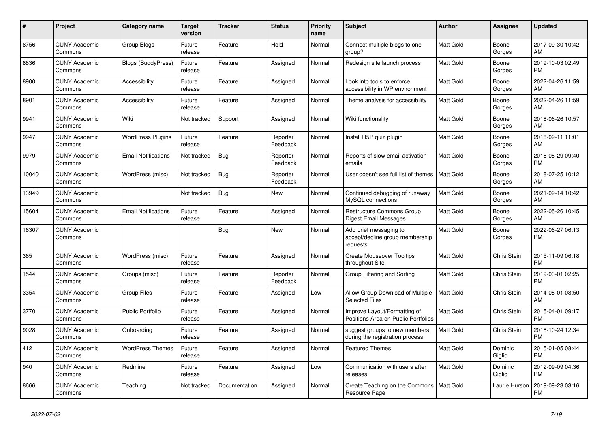| #     | <b>Project</b>                  | Category name              | <b>Target</b><br>version | <b>Tracker</b> | <b>Status</b>        | <b>Priority</b><br>name | <b>Subject</b>                                                        | <b>Author</b>    | Assignee           | <b>Updated</b>                |
|-------|---------------------------------|----------------------------|--------------------------|----------------|----------------------|-------------------------|-----------------------------------------------------------------------|------------------|--------------------|-------------------------------|
| 8756  | <b>CUNY Academic</b><br>Commons | Group Blogs                | Future<br>release        | Feature        | Hold                 | Normal                  | Connect multiple blogs to one<br>group?                               | <b>Matt Gold</b> | Boone<br>Gorges    | 2017-09-30 10:42<br>AM        |
| 8836  | <b>CUNY Academic</b><br>Commons | Blogs (BuddyPress)         | Future<br>release        | Feature        | Assigned             | Normal                  | Redesign site launch process                                          | <b>Matt Gold</b> | Boone<br>Gorges    | 2019-10-03 02:49<br><b>PM</b> |
| 8900  | <b>CUNY Academic</b><br>Commons | Accessibility              | Future<br>release        | Feature        | Assigned             | Normal                  | Look into tools to enforce<br>accessibility in WP environment         | Matt Gold        | Boone<br>Gorges    | 2022-04-26 11:59<br>AM.       |
| 8901  | <b>CUNY Academic</b><br>Commons | Accessibility              | Future<br>release        | Feature        | Assigned             | Normal                  | Theme analysis for accessibility                                      | <b>Matt Gold</b> | Boone<br>Gorges    | 2022-04-26 11:59<br>AM        |
| 9941  | <b>CUNY Academic</b><br>Commons | Wiki                       | Not tracked              | Support        | Assigned             | Normal                  | Wiki functionality                                                    | <b>Matt Gold</b> | Boone<br>Gorges    | 2018-06-26 10:57<br>AM.       |
| 9947  | <b>CUNY Academic</b><br>Commons | <b>WordPress Plugins</b>   | Future<br>release        | Feature        | Reporter<br>Feedback | Normal                  | Install H5P quiz plugin                                               | Matt Gold        | Boone<br>Gorges    | 2018-09-11 11:01<br><b>AM</b> |
| 9979  | <b>CUNY Academic</b><br>Commons | <b>Email Notifications</b> | Not tracked              | Bug            | Reporter<br>Feedback | Normal                  | Reports of slow email activation<br>emails                            | <b>Matt Gold</b> | Boone<br>Gorges    | 2018-08-29 09:40<br><b>PM</b> |
| 10040 | <b>CUNY Academic</b><br>Commons | WordPress (misc)           | Not tracked              | Bug            | Reporter<br>Feedback | Normal                  | User doesn't see full list of themes                                  | <b>Matt Gold</b> | Boone<br>Gorges    | 2018-07-25 10:12<br>AM.       |
| 13949 | <b>CUNY Academic</b><br>Commons |                            | Not tracked              | Bug            | New                  | Normal                  | Continued debugging of runaway<br>MySQL connections                   | Matt Gold        | Boone<br>Gorges    | 2021-09-14 10:42<br>AM        |
| 15604 | <b>CUNY Academic</b><br>Commons | <b>Email Notifications</b> | Future<br>release        | Feature        | Assigned             | Normal                  | Restructure Commons Group<br>Digest Email Messages                    | <b>Matt Gold</b> | Boone<br>Gorges    | 2022-05-26 10:45<br>AM        |
| 16307 | <b>CUNY Academic</b><br>Commons |                            |                          | Bug            | <b>New</b>           | Normal                  | Add brief messaging to<br>accept/decline group membership<br>requests | <b>Matt Gold</b> | Boone<br>Gorges    | 2022-06-27 06:13<br>PM        |
| 365   | <b>CUNY Academic</b><br>Commons | WordPress (misc)           | Future<br>release        | Feature        | Assigned             | Normal                  | <b>Create Mouseover Tooltips</b><br>throughout Site                   | Matt Gold        | <b>Chris Stein</b> | 2015-11-09 06:18<br><b>PM</b> |
| 1544  | <b>CUNY Academic</b><br>Commons | Groups (misc)              | Future<br>release        | Feature        | Reporter<br>Feedback | Normal                  | Group Filtering and Sorting                                           | <b>Matt Gold</b> | Chris Stein        | 2019-03-01 02:25<br><b>PM</b> |
| 3354  | <b>CUNY Academic</b><br>Commons | <b>Group Files</b>         | Future<br>release        | Feature        | Assigned             | Low                     | Allow Group Download of Multiple<br><b>Selected Files</b>             | Matt Gold        | Chris Stein        | 2014-08-01 08:50<br>AM        |
| 3770  | <b>CUNY Academic</b><br>Commons | <b>Public Portfolio</b>    | Future<br>release        | Feature        | Assigned             | Normal                  | Improve Layout/Formatting of<br>Positions Area on Public Portfolios   | Matt Gold        | Chris Stein        | 2015-04-01 09:17<br><b>PM</b> |
| 9028  | <b>CUNY Academic</b><br>Commons | Onboarding                 | Future<br>release        | Feature        | Assigned             | Normal                  | suggest groups to new members<br>during the registration process      | Matt Gold        | <b>Chris Stein</b> | 2018-10-24 12:34<br><b>PM</b> |
| 412   | <b>CUNY Academic</b><br>Commons | <b>WordPress Themes</b>    | Future<br>release        | Feature        | Assigned             | Normal                  | <b>Featured Themes</b>                                                | <b>Matt Gold</b> | Dominic<br>Giglio  | 2015-01-05 08:44<br><b>PM</b> |
| 940   | <b>CUNY Academic</b><br>Commons | Redmine                    | Future<br>release        | Feature        | Assigned             | Low                     | Communication with users after<br>releases                            | Matt Gold        | Dominic<br>Giglio  | 2012-09-09 04:36<br><b>PM</b> |
| 8666  | <b>CUNY Academic</b><br>Commons | Teaching                   | Not tracked              | Documentation  | Assigned             | Normal                  | Create Teaching on the Commons<br>Resource Page                       | Matt Gold        | Laurie Hurson      | 2019-09-23 03:16<br><b>PM</b> |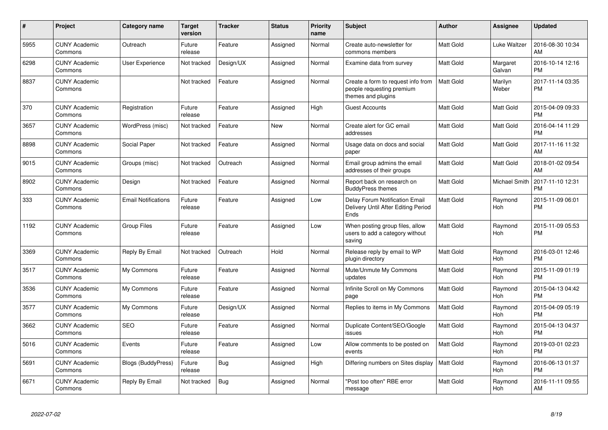| $\#$ | Project                         | <b>Category name</b>       | <b>Target</b><br>version | <b>Tracker</b> | <b>Status</b> | <b>Priority</b><br>name | <b>Subject</b>                                                                        | Author           | Assignee              | <b>Updated</b>                |
|------|---------------------------------|----------------------------|--------------------------|----------------|---------------|-------------------------|---------------------------------------------------------------------------------------|------------------|-----------------------|-------------------------------|
| 5955 | <b>CUNY Academic</b><br>Commons | Outreach                   | Future<br>release        | Feature        | Assigned      | Normal                  | Create auto-newsletter for<br>commons members                                         | <b>Matt Gold</b> | Luke Waltzer          | 2016-08-30 10:34<br>AM        |
| 6298 | <b>CUNY Academic</b><br>Commons | User Experience            | Not tracked              | Design/UX      | Assigned      | Normal                  | Examine data from survey                                                              | Matt Gold        | Margaret<br>Galvan    | 2016-10-14 12:16<br><b>PM</b> |
| 8837 | <b>CUNY Academic</b><br>Commons |                            | Not tracked              | Feature        | Assigned      | Normal                  | Create a form to request info from<br>people requesting premium<br>themes and plugins | <b>Matt Gold</b> | Marilyn<br>Weber      | 2017-11-14 03:35<br><b>PM</b> |
| 370  | <b>CUNY Academic</b><br>Commons | Registration               | Future<br>release        | Feature        | Assigned      | High                    | <b>Guest Accounts</b>                                                                 | <b>Matt Gold</b> | Matt Gold             | 2015-04-09 09:33<br>PM        |
| 3657 | <b>CUNY Academic</b><br>Commons | WordPress (misc)           | Not tracked              | Feature        | <b>New</b>    | Normal                  | Create alert for GC email<br>addresses                                                | Matt Gold        | Matt Gold             | 2016-04-14 11:29<br><b>PM</b> |
| 8898 | <b>CUNY Academic</b><br>Commons | Social Paper               | Not tracked              | Feature        | Assigned      | Normal                  | Usage data on docs and social<br>paper                                                | <b>Matt Gold</b> | Matt Gold             | 2017-11-16 11:32<br>AM        |
| 9015 | <b>CUNY Academic</b><br>Commons | Groups (misc)              | Not tracked              | Outreach       | Assigned      | Normal                  | Email group admins the email<br>addresses of their groups                             | Matt Gold        | Matt Gold             | 2018-01-02 09:54<br>AM        |
| 8902 | <b>CUNY Academic</b><br>Commons | Design                     | Not tracked              | Feature        | Assigned      | Normal                  | Report back on research on<br><b>BuddyPress themes</b>                                | Matt Gold        | Michael Smith         | 2017-11-10 12:31<br><b>PM</b> |
| 333  | <b>CUNY Academic</b><br>Commons | <b>Email Notifications</b> | Future<br>release        | Feature        | Assigned      | Low                     | Delay Forum Notification Email<br>Delivery Until After Editing Period<br>Ends         | Matt Gold        | Raymond<br><b>Hoh</b> | 2015-11-09 06:01<br><b>PM</b> |
| 1192 | <b>CUNY Academic</b><br>Commons | <b>Group Files</b>         | Future<br>release        | Feature        | Assigned      | Low                     | When posting group files, allow<br>users to add a category without<br>saving          | <b>Matt Gold</b> | Raymond<br><b>Hoh</b> | 2015-11-09 05:53<br><b>PM</b> |
| 3369 | <b>CUNY Academic</b><br>Commons | Reply By Email             | Not tracked              | Outreach       | Hold          | Normal                  | Release reply by email to WP<br>plugin directory                                      | Matt Gold        | Raymond<br>Hoh        | 2016-03-01 12:46<br>PM        |
| 3517 | <b>CUNY Academic</b><br>Commons | My Commons                 | Future<br>release        | Feature        | Assigned      | Normal                  | Mute/Unmute My Commons<br>updates                                                     | Matt Gold        | Raymond<br>Hoh        | 2015-11-09 01:19<br><b>PM</b> |
| 3536 | <b>CUNY Academic</b><br>Commons | My Commons                 | Future<br>release        | Feature        | Assigned      | Normal                  | Infinite Scroll on My Commons<br>page                                                 | <b>Matt Gold</b> | Raymond<br><b>Hoh</b> | 2015-04-13 04:42<br><b>PM</b> |
| 3577 | <b>CUNY Academic</b><br>Commons | My Commons                 | Future<br>release        | Design/UX      | Assigned      | Normal                  | Replies to items in My Commons                                                        | Matt Gold        | Raymond<br>Hoh        | 2015-04-09 05:19<br><b>PM</b> |
| 3662 | <b>CUNY Academic</b><br>Commons | <b>SEO</b>                 | Future<br>release        | Feature        | Assigned      | Normal                  | Duplicate Content/SEO/Google<br>issues                                                | Matt Gold        | Raymond<br><b>Hoh</b> | 2015-04-13 04:37<br><b>PM</b> |
| 5016 | <b>CUNY Academic</b><br>Commons | Events                     | Future<br>release        | Feature        | Assigned      | Low                     | Allow comments to be posted on<br>events                                              | Matt Gold        | Raymond<br><b>Hoh</b> | 2019-03-01 02:23<br><b>PM</b> |
| 5691 | <b>CUNY Academic</b><br>Commons | <b>Blogs (BuddyPress)</b>  | Future<br>release        | Bug            | Assigned      | High                    | Differing numbers on Sites display                                                    | <b>Matt Gold</b> | Raymond<br>Hoh        | 2016-06-13 01:37<br><b>PM</b> |
| 6671 | <b>CUNY Academic</b><br>Commons | Reply By Email             | Not tracked              | <b>Bug</b>     | Assigned      | Normal                  | 'Post too often" RBE error<br>message                                                 | <b>Matt Gold</b> | Raymond<br>Hoh        | 2016-11-11 09:55<br>AM        |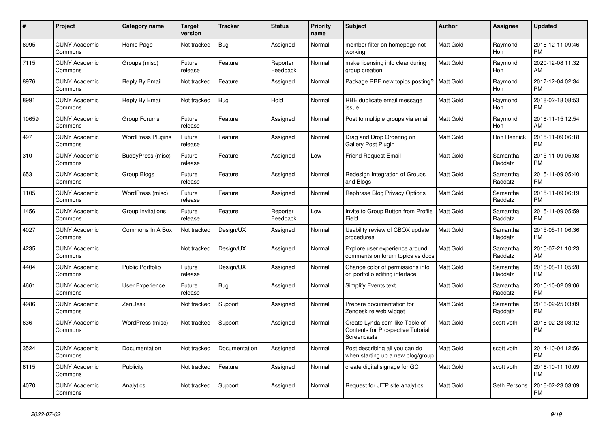| $\pmb{\#}$ | <b>Project</b>                  | <b>Category name</b>     | Target<br>version | <b>Tracker</b> | <b>Status</b>        | Priority<br>name | <b>Subject</b>                                                                            | <b>Author</b>    | Assignee            | <b>Updated</b>                |
|------------|---------------------------------|--------------------------|-------------------|----------------|----------------------|------------------|-------------------------------------------------------------------------------------------|------------------|---------------------|-------------------------------|
| 6995       | <b>CUNY Academic</b><br>Commons | Home Page                | Not tracked       | <b>Bug</b>     | Assigned             | Normal           | member filter on homepage not<br>working                                                  | <b>Matt Gold</b> | Raymond<br>Hoh      | 2016-12-11 09:46<br><b>PM</b> |
| 7115       | <b>CUNY Academic</b><br>Commons | Groups (misc)            | Future<br>release | Feature        | Reporter<br>Feedback | Normal           | make licensing info clear during<br>group creation                                        | <b>Matt Gold</b> | Raymond<br>Hoh      | 2020-12-08 11:32<br>AM        |
| 8976       | <b>CUNY Academic</b><br>Commons | Reply By Email           | Not tracked       | Feature        | Assigned             | Normal           | Package RBE new topics posting?                                                           | <b>Matt Gold</b> | Raymond<br>Hoh      | 2017-12-04 02:34<br><b>PM</b> |
| 8991       | <b>CUNY Academic</b><br>Commons | Reply By Email           | Not tracked       | Bug            | Hold                 | Normal           | RBE duplicate email message<br>issue                                                      | <b>Matt Gold</b> | Raymond<br>Hoh      | 2018-02-18 08:53<br><b>PM</b> |
| 10659      | <b>CUNY Academic</b><br>Commons | Group Forums             | Future<br>release | Feature        | Assigned             | Normal           | Post to multiple groups via email                                                         | <b>Matt Gold</b> | Raymond<br>Hoh      | 2018-11-15 12:54<br>AM        |
| 497        | <b>CUNY Academic</b><br>Commons | <b>WordPress Plugins</b> | Future<br>release | Feature        | Assigned             | Normal           | Drag and Drop Ordering on<br><b>Gallery Post Plugin</b>                                   | <b>Matt Gold</b> | Ron Rennick         | 2015-11-09 06:18<br><b>PM</b> |
| 310        | <b>CUNY Academic</b><br>Commons | BuddyPress (misc)        | Future<br>release | Feature        | Assigned             | Low              | <b>Friend Request Email</b>                                                               | <b>Matt Gold</b> | Samantha<br>Raddatz | 2015-11-09 05:08<br><b>PM</b> |
| 653        | <b>CUNY Academic</b><br>Commons | Group Blogs              | Future<br>release | Feature        | Assigned             | Normal           | Redesign Integration of Groups<br>and Blogs                                               | <b>Matt Gold</b> | Samantha<br>Raddatz | 2015-11-09 05:40<br><b>PM</b> |
| 1105       | <b>CUNY Academic</b><br>Commons | WordPress (misc)         | Future<br>release | Feature        | Assigned             | Normal           | Rephrase Blog Privacy Options                                                             | Matt Gold        | Samantha<br>Raddatz | 2015-11-09 06:19<br><b>PM</b> |
| 1456       | <b>CUNY Academic</b><br>Commons | Group Invitations        | Future<br>release | Feature        | Reporter<br>Feedback | Low              | Invite to Group Button from Profile<br>Field                                              | <b>Matt Gold</b> | Samantha<br>Raddatz | 2015-11-09 05:59<br><b>PM</b> |
| 4027       | <b>CUNY Academic</b><br>Commons | Commons In A Box         | Not tracked       | Design/UX      | Assigned             | Normal           | Usability review of CBOX update<br>procedures                                             | <b>Matt Gold</b> | Samantha<br>Raddatz | 2015-05-11 06:36<br><b>PM</b> |
| 4235       | <b>CUNY Academic</b><br>Commons |                          | Not tracked       | Design/UX      | Assigned             | Normal           | Explore user experience around<br>comments on forum topics vs docs                        | <b>Matt Gold</b> | Samantha<br>Raddatz | 2015-07-21 10:23<br>AM        |
| 4404       | <b>CUNY Academic</b><br>Commons | <b>Public Portfolio</b>  | Future<br>release | Design/UX      | Assigned             | Normal           | Change color of permissions info<br>on portfolio editing interface                        | <b>Matt Gold</b> | Samantha<br>Raddatz | 2015-08-11 05:28<br><b>PM</b> |
| 4661       | <b>CUNY Academic</b><br>Commons | <b>User Experience</b>   | Future<br>release | Bug            | Assigned             | Normal           | <b>Simplify Events text</b>                                                               | <b>Matt Gold</b> | Samantha<br>Raddatz | 2015-10-02 09:06<br><b>PM</b> |
| 4986       | <b>CUNY Academic</b><br>Commons | <b>ZenDesk</b>           | Not tracked       | Support        | Assigned             | Normal           | Prepare documentation for<br>Zendesk re web widget                                        | <b>Matt Gold</b> | Samantha<br>Raddatz | 2016-02-25 03:09<br><b>PM</b> |
| 636        | <b>CUNY Academic</b><br>Commons | WordPress (misc)         | Not tracked       | Support        | Assigned             | Normal           | Create Lynda.com-like Table of<br><b>Contents for Prospective Tutorial</b><br>Screencasts | <b>Matt Gold</b> | scott voth          | 2016-02-23 03:12<br><b>PM</b> |
| 3524       | <b>CUNY Academic</b><br>Commons | Documentation            | Not tracked       | Documentation  | Assigned             | Normal           | Post describing all you can do<br>when starting up a new blog/group                       | <b>Matt Gold</b> | scott voth          | 2014-10-04 12:56<br><b>PM</b> |
| 6115       | <b>CUNY Academic</b><br>Commons | Publicity                | Not tracked       | Feature        | Assigned             | Normal           | create digital signage for GC                                                             | <b>Matt Gold</b> | scott voth          | 2016-10-11 10:09<br><b>PM</b> |
| 4070       | <b>CUNY Academic</b><br>Commons | Analytics                | Not tracked       | Support        | Assigned             | Normal           | Request for JITP site analytics                                                           | <b>Matt Gold</b> | Seth Persons        | 2016-02-23 03:09<br><b>PM</b> |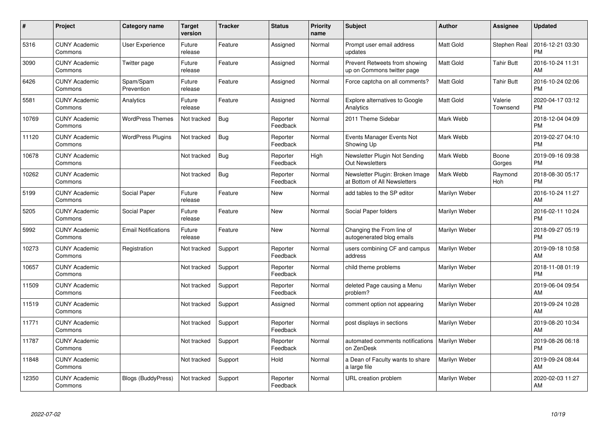| $\#$  | Project                         | <b>Category name</b>       | <b>Target</b><br>version | <b>Tracker</b> | <b>Status</b>        | <b>Priority</b><br>name | <b>Subject</b>                                                  | <b>Author</b>    | Assignee            | <b>Updated</b>                |
|-------|---------------------------------|----------------------------|--------------------------|----------------|----------------------|-------------------------|-----------------------------------------------------------------|------------------|---------------------|-------------------------------|
| 5316  | <b>CUNY Academic</b><br>Commons | <b>User Experience</b>     | Future<br>release        | Feature        | Assigned             | Normal                  | Prompt user email address<br>updates                            | <b>Matt Gold</b> | Stephen Real        | 2016-12-21 03:30<br><b>PM</b> |
| 3090  | <b>CUNY Academic</b><br>Commons | Twitter page               | Future<br>release        | Feature        | Assigned             | Normal                  | Prevent Retweets from showing<br>up on Commons twitter page     | <b>Matt Gold</b> | Tahir Butt          | 2016-10-24 11:31<br>AM        |
| 6426  | <b>CUNY Academic</b><br>Commons | Spam/Spam<br>Prevention    | Future<br>release        | Feature        | Assigned             | Normal                  | Force captcha on all comments?                                  | <b>Matt Gold</b> | Tahir Butt          | 2016-10-24 02:06<br><b>PM</b> |
| 5581  | <b>CUNY Academic</b><br>Commons | Analytics                  | Future<br>release        | Feature        | Assigned             | Normal                  | <b>Explore alternatives to Google</b><br>Analytics              | <b>Matt Gold</b> | Valerie<br>Townsend | 2020-04-17 03:12<br><b>PM</b> |
| 10769 | <b>CUNY Academic</b><br>Commons | <b>WordPress Themes</b>    | Not tracked              | Bug            | Reporter<br>Feedback | Normal                  | 2011 Theme Sidebar                                              | Mark Webb        |                     | 2018-12-04 04:09<br><b>PM</b> |
| 11120 | <b>CUNY Academic</b><br>Commons | <b>WordPress Plugins</b>   | Not tracked              | Bug            | Reporter<br>Feedback | Normal                  | Events Manager Events Not<br>Showing Up                         | Mark Webb        |                     | 2019-02-27 04:10<br><b>PM</b> |
| 10678 | <b>CUNY Academic</b><br>Commons |                            | Not tracked              | Bug            | Reporter<br>Feedback | High                    | Newsletter Plugin Not Sending<br><b>Out Newsletters</b>         | Mark Webb        | Boone<br>Gorges     | 2019-09-16 09:38<br><b>PM</b> |
| 10262 | <b>CUNY Academic</b><br>Commons |                            | Not tracked              | Bug            | Reporter<br>Feedback | Normal                  | Newsletter Plugin: Broken Image<br>at Bottom of All Newsletters | Mark Webb        | Raymond<br>Hoh      | 2018-08-30 05:17<br><b>PM</b> |
| 5199  | <b>CUNY Academic</b><br>Commons | Social Paper               | Future<br>release        | Feature        | <b>New</b>           | Normal                  | add tables to the SP editor                                     | Marilyn Weber    |                     | 2016-10-24 11:27<br>AM        |
| 5205  | <b>CUNY Academic</b><br>Commons | Social Paper               | Future<br>release        | Feature        | <b>New</b>           | Normal                  | Social Paper folders                                            | Marilyn Weber    |                     | 2016-02-11 10:24<br><b>PM</b> |
| 5992  | <b>CUNY Academic</b><br>Commons | <b>Email Notifications</b> | Future<br>release        | Feature        | <b>New</b>           | Normal                  | Changing the From line of<br>autogenerated blog emails          | Marilyn Weber    |                     | 2018-09-27 05:19<br><b>PM</b> |
| 10273 | <b>CUNY Academic</b><br>Commons | Registration               | Not tracked              | Support        | Reporter<br>Feedback | Normal                  | users combining CF and campus<br>address                        | Marilyn Weber    |                     | 2019-09-18 10:58<br>AM        |
| 10657 | <b>CUNY Academic</b><br>Commons |                            | Not tracked              | Support        | Reporter<br>Feedback | Normal                  | child theme problems                                            | Marilyn Weber    |                     | 2018-11-08 01:19<br><b>PM</b> |
| 11509 | <b>CUNY Academic</b><br>Commons |                            | Not tracked              | Support        | Reporter<br>Feedback | Normal                  | deleted Page causing a Menu<br>problem?                         | Marilyn Weber    |                     | 2019-06-04 09:54<br>AM        |
| 11519 | <b>CUNY Academic</b><br>Commons |                            | Not tracked              | Support        | Assigned             | Normal                  | comment option not appearing                                    | Marilyn Weber    |                     | 2019-09-24 10:28<br>AM        |
| 11771 | <b>CUNY Academic</b><br>Commons |                            | Not tracked              | Support        | Reporter<br>Feedback | Normal                  | post displays in sections                                       | Marilyn Weber    |                     | 2019-08-20 10:34<br>AM        |
| 11787 | <b>CUNY Academic</b><br>Commons |                            | Not tracked              | Support        | Reporter<br>Feedback | Normal                  | automated comments notifications<br>on ZenDesk                  | Marilyn Weber    |                     | 2019-08-26 06:18<br><b>PM</b> |
| 11848 | <b>CUNY Academic</b><br>Commons |                            | Not tracked              | Support        | Hold                 | Normal                  | a Dean of Faculty wants to share<br>a large file                | Marilyn Weber    |                     | 2019-09-24 08:44<br>AM        |
| 12350 | <b>CUNY Academic</b><br>Commons | <b>Blogs (BuddyPress)</b>  | Not tracked              | Support        | Reporter<br>Feedback | Normal                  | URL creation problem                                            | Marilyn Weber    |                     | 2020-02-03 11:27<br>AM        |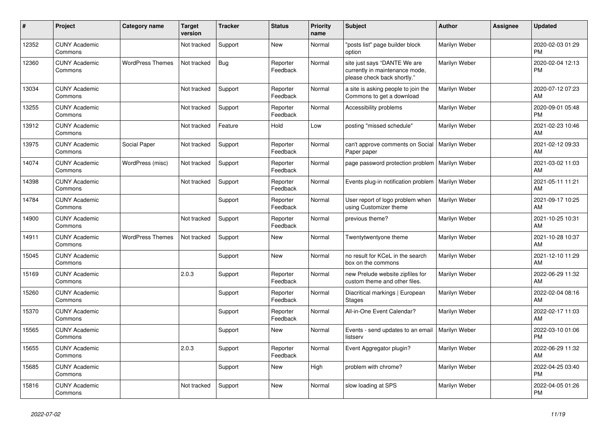| #     | Project                         | Category name           | <b>Target</b><br>version | <b>Tracker</b> | <b>Status</b>        | <b>Priority</b><br>name | <b>Subject</b>                                                                                | <b>Author</b> | Assignee | <b>Updated</b>                |
|-------|---------------------------------|-------------------------|--------------------------|----------------|----------------------|-------------------------|-----------------------------------------------------------------------------------------------|---------------|----------|-------------------------------|
| 12352 | <b>CUNY Academic</b><br>Commons |                         | Not tracked              | Support        | <b>New</b>           | Normal                  | "posts list" page builder block<br>option                                                     | Marilyn Weber |          | 2020-02-03 01:29<br><b>PM</b> |
| 12360 | <b>CUNY Academic</b><br>Commons | <b>WordPress Themes</b> | Not tracked              | <b>Bug</b>     | Reporter<br>Feedback | Normal                  | site just says "DANTE We are<br>currently in maintenance mode,<br>please check back shortly." | Marilyn Weber |          | 2020-02-04 12:13<br><b>PM</b> |
| 13034 | <b>CUNY Academic</b><br>Commons |                         | Not tracked              | Support        | Reporter<br>Feedback | Normal                  | a site is asking people to join the<br>Commons to get a download                              | Marilyn Weber |          | 2020-07-12 07:23<br>AM        |
| 13255 | <b>CUNY Academic</b><br>Commons |                         | Not tracked              | Support        | Reporter<br>Feedback | Normal                  | Accessibility problems                                                                        | Marilyn Weber |          | 2020-09-01 05:48<br><b>PM</b> |
| 13912 | <b>CUNY Academic</b><br>Commons |                         | Not tracked              | Feature        | Hold                 | Low                     | posting "missed schedule"                                                                     | Marilyn Weber |          | 2021-02-23 10:46<br>AM        |
| 13975 | <b>CUNY Academic</b><br>Commons | Social Paper            | Not tracked              | Support        | Reporter<br>Feedback | Normal                  | can't approve comments on Social<br>Paper paper                                               | Marilyn Weber |          | 2021-02-12 09:33<br>AM        |
| 14074 | <b>CUNY Academic</b><br>Commons | WordPress (misc)        | Not tracked              | Support        | Reporter<br>Feedback | Normal                  | page password protection problem                                                              | Marilyn Weber |          | 2021-03-02 11:03<br>AM        |
| 14398 | <b>CUNY Academic</b><br>Commons |                         | Not tracked              | Support        | Reporter<br>Feedback | Normal                  | Events plug-in notification problem                                                           | Marilyn Weber |          | 2021-05-11 11:21<br><b>AM</b> |
| 14784 | <b>CUNY Academic</b><br>Commons |                         |                          | Support        | Reporter<br>Feedback | Normal                  | User report of logo problem when<br>using Customizer theme                                    | Marilyn Weber |          | 2021-09-17 10:25<br>AM        |
| 14900 | <b>CUNY Academic</b><br>Commons |                         | Not tracked              | Support        | Reporter<br>Feedback | Normal                  | previous theme?                                                                               | Marilyn Weber |          | 2021-10-25 10:31<br>AM        |
| 14911 | <b>CUNY Academic</b><br>Commons | <b>WordPress Themes</b> | Not tracked              | Support        | New                  | Normal                  | Twentytwentyone theme                                                                         | Marilyn Weber |          | 2021-10-28 10:37<br>AM        |
| 15045 | <b>CUNY Academic</b><br>Commons |                         |                          | Support        | <b>New</b>           | Normal                  | no result for KCeL in the search<br>box on the commons                                        | Marilyn Weber |          | 2021-12-10 11:29<br>AM        |
| 15169 | <b>CUNY Academic</b><br>Commons |                         | 2.0.3                    | Support        | Reporter<br>Feedback | Normal                  | new Prelude website zipfiles for<br>custom theme and other files.                             | Marilyn Weber |          | 2022-06-29 11:32<br>AM        |
| 15260 | <b>CUNY Academic</b><br>Commons |                         |                          | Support        | Reporter<br>Feedback | Normal                  | Diacritical markings   European<br><b>Stages</b>                                              | Marilyn Weber |          | 2022-02-04 08:16<br>AM        |
| 15370 | <b>CUNY Academic</b><br>Commons |                         |                          | Support        | Reporter<br>Feedback | Normal                  | All-in-One Event Calendar?                                                                    | Marilyn Weber |          | 2022-02-17 11:03<br>AM        |
| 15565 | <b>CUNY Academic</b><br>Commons |                         |                          | Support        | <b>New</b>           | Normal                  | Events - send updates to an email<br>listserv                                                 | Marilyn Weber |          | 2022-03-10 01:06<br><b>PM</b> |
| 15655 | <b>CUNY Academic</b><br>Commons |                         | 2.0.3                    | Support        | Reporter<br>Feedback | Normal                  | Event Aggregator plugin?                                                                      | Marilyn Weber |          | 2022-06-29 11:32<br><b>AM</b> |
| 15685 | <b>CUNY Academic</b><br>Commons |                         |                          | Support        | <b>New</b>           | High                    | problem with chrome?                                                                          | Marilyn Weber |          | 2022-04-25 03:40<br><b>PM</b> |
| 15816 | <b>CUNY Academic</b><br>Commons |                         | Not tracked              | Support        | <b>New</b>           | Normal                  | slow loading at SPS                                                                           | Marilyn Weber |          | 2022-04-05 01:26<br>PM        |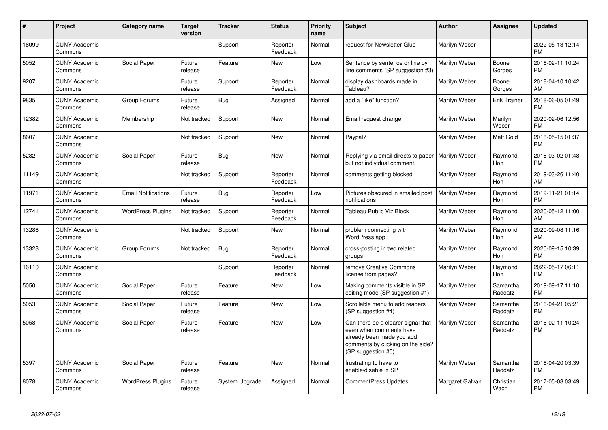| #     | Project                         | <b>Category name</b>       | <b>Target</b><br>version | <b>Tracker</b> | <b>Status</b>        | <b>Priority</b><br>name | <b>Subject</b>                                                                                                                                        | <b>Author</b>   | <b>Assignee</b>     | <b>Updated</b>                |
|-------|---------------------------------|----------------------------|--------------------------|----------------|----------------------|-------------------------|-------------------------------------------------------------------------------------------------------------------------------------------------------|-----------------|---------------------|-------------------------------|
| 16099 | <b>CUNY Academic</b><br>Commons |                            |                          | Support        | Reporter<br>Feedback | Normal                  | request for Newsletter Glue                                                                                                                           | Marilyn Weber   |                     | 2022-05-13 12:14<br><b>PM</b> |
| 5052  | <b>CUNY Academic</b><br>Commons | Social Paper               | Future<br>release        | Feature        | New                  | Low                     | Sentence by sentence or line by<br>line comments (SP suggestion #3)                                                                                   | Marilyn Weber   | Boone<br>Gorges     | 2016-02-11 10:24<br><b>PM</b> |
| 9207  | <b>CUNY Academic</b><br>Commons |                            | Future<br>release        | Support        | Reporter<br>Feedback | Normal                  | display dashboards made in<br>Tableau?                                                                                                                | Marilyn Weber   | Boone<br>Gorges     | 2018-04-10 10:42<br>AM        |
| 9835  | <b>CUNY Academic</b><br>Commons | Group Forums               | Future<br>release        | Bug            | Assigned             | Normal                  | add a "like" function?                                                                                                                                | Marilyn Weber   | Erik Trainer        | 2018-06-05 01:49<br><b>PM</b> |
| 12382 | <b>CUNY Academic</b><br>Commons | Membership                 | Not tracked              | Support        | <b>New</b>           | Normal                  | Email request change                                                                                                                                  | Marilyn Weber   | Marilyn<br>Weber    | 2020-02-06 12:56<br><b>PM</b> |
| 8607  | <b>CUNY Academic</b><br>Commons |                            | Not tracked              | Support        | <b>New</b>           | Normal                  | Paypal?                                                                                                                                               | Marilyn Weber   | Matt Gold           | 2018-05-15 01:37<br><b>PM</b> |
| 5282  | <b>CUNY Academic</b><br>Commons | Social Paper               | Future<br>release        | Bug            | <b>New</b>           | Normal                  | Replying via email directs to paper<br>but not individual comment.                                                                                    | Marilyn Weber   | Raymond<br>Hoh      | 2016-03-02 01:48<br><b>PM</b> |
| 11149 | <b>CUNY Academic</b><br>Commons |                            | Not tracked              | Support        | Reporter<br>Feedback | Normal                  | comments getting blocked                                                                                                                              | Marilyn Weber   | Raymond<br>Hoh      | 2019-03-26 11:40<br>AM        |
| 11971 | <b>CUNY Academic</b><br>Commons | <b>Email Notifications</b> | Future<br>release        | Bug            | Reporter<br>Feedback | Low                     | Pictures obscured in emailed post<br>notifications                                                                                                    | Marilyn Weber   | Raymond<br>Hoh      | 2019-11-21 01:14<br><b>PM</b> |
| 12741 | <b>CUNY Academic</b><br>Commons | <b>WordPress Plugins</b>   | Not tracked              | Support        | Reporter<br>Feedback | Normal                  | Tableau Public Viz Block                                                                                                                              | Marilyn Weber   | Raymond<br>Hoh      | 2020-05-12 11:00<br>AM        |
| 13286 | <b>CUNY Academic</b><br>Commons |                            | Not tracked              | Support        | <b>New</b>           | Normal                  | problem connecting with<br>WordPress app                                                                                                              | Marilyn Weber   | Raymond<br>Hoh      | 2020-09-08 11:16<br>AM        |
| 13328 | <b>CUNY Academic</b><br>Commons | Group Forums               | Not tracked              | Bug            | Reporter<br>Feedback | Normal                  | cross-posting in two related<br>groups                                                                                                                | Marilyn Weber   | Raymond<br>Hoh      | 2020-09-15 10:39<br><b>PM</b> |
| 16110 | <b>CUNY Academic</b><br>Commons |                            |                          | Support        | Reporter<br>Feedback | Normal                  | remove Creative Commons<br>license from pages?                                                                                                        | Marilyn Weber   | Raymond<br>Hoh      | 2022-05-17 06:11<br><b>PM</b> |
| 5050  | <b>CUNY Academic</b><br>Commons | Social Paper               | Future<br>release        | Feature        | <b>New</b>           | Low                     | Making comments visible in SP<br>editing mode (SP suggestion #1)                                                                                      | Marilyn Weber   | Samantha<br>Raddatz | 2019-09-17 11:10<br><b>PM</b> |
| 5053  | <b>CUNY Academic</b><br>Commons | Social Paper               | Future<br>release        | Feature        | New                  | Low                     | Scrollable menu to add readers<br>(SP suggestion #4)                                                                                                  | Marilyn Weber   | Samantha<br>Raddatz | 2016-04-21 05:21<br><b>PM</b> |
| 5058  | <b>CUNY Academic</b><br>Commons | Social Paper               | Future<br>release        | Feature        | New                  | Low                     | Can there be a clearer signal that<br>even when comments have<br>already been made you add<br>comments by clicking on the side?<br>(SP suggestion #5) | Marilyn Weber   | Samantha<br>Raddatz | 2016-02-11 10:24<br><b>PM</b> |
| 5397  | <b>CUNY Academic</b><br>Commons | Social Paper               | Future<br>release        | Feature        | New                  | Normal                  | frustrating to have to<br>enable/disable in SP                                                                                                        | Marilyn Weber   | Samantha<br>Raddatz | 2016-04-20 03:39<br><b>PM</b> |
| 8078  | <b>CUNY Academic</b><br>Commons | <b>WordPress Plugins</b>   | Future<br>release        | System Upgrade | Assigned             | Normal                  | <b>CommentPress Updates</b>                                                                                                                           | Margaret Galvan | Christian<br>Wach   | 2017-05-08 03:49<br><b>PM</b> |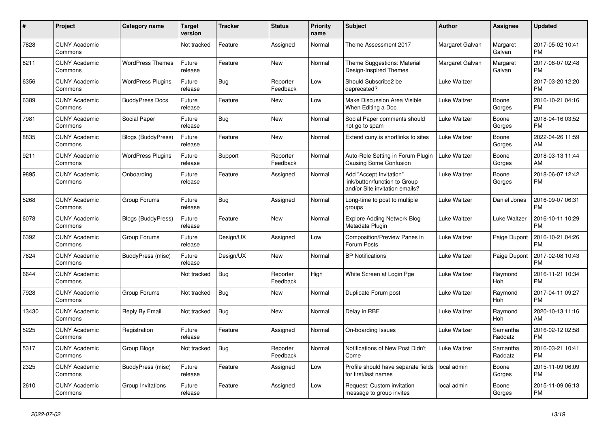| #     | Project                         | <b>Category name</b>      | Target<br>version | <b>Tracker</b> | <b>Status</b>        | <b>Priority</b><br>name | <b>Subject</b>                                                                             | <b>Author</b>   | <b>Assignee</b>     | <b>Updated</b>                |
|-------|---------------------------------|---------------------------|-------------------|----------------|----------------------|-------------------------|--------------------------------------------------------------------------------------------|-----------------|---------------------|-------------------------------|
| 7828  | <b>CUNY Academic</b><br>Commons |                           | Not tracked       | Feature        | Assigned             | Normal                  | Theme Assessment 2017                                                                      | Margaret Galvan | Margaret<br>Galvan  | 2017-05-02 10:41<br><b>PM</b> |
| 8211  | <b>CUNY Academic</b><br>Commons | <b>WordPress Themes</b>   | Future<br>release | Feature        | New                  | Normal                  | Theme Suggestions: Material<br>Design-Inspired Themes                                      | Margaret Galvan | Margaret<br>Galvan  | 2017-08-07 02:48<br><b>PM</b> |
| 6356  | <b>CUNY Academic</b><br>Commons | <b>WordPress Plugins</b>  | Future<br>release | <b>Bug</b>     | Reporter<br>Feedback | Low                     | Should Subscribe2 be<br>deprecated?                                                        | Luke Waltzer    |                     | 2017-03-20 12:20<br><b>PM</b> |
| 6389  | <b>CUNY Academic</b><br>Commons | <b>BuddyPress Docs</b>    | Future<br>release | Feature        | <b>New</b>           | Low                     | <b>Make Discussion Area Visible</b><br>When Editing a Doc                                  | Luke Waltzer    | Boone<br>Gorges     | 2016-10-21 04:16<br><b>PM</b> |
| 7981  | <b>CUNY Academic</b><br>Commons | Social Paper              | Future<br>release | Bug            | <b>New</b>           | Normal                  | Social Paper comments should<br>not go to spam                                             | Luke Waltzer    | Boone<br>Gorges     | 2018-04-16 03:52<br><b>PM</b> |
| 8835  | <b>CUNY Academic</b><br>Commons | <b>Blogs (BuddyPress)</b> | Future<br>release | Feature        | New                  | Normal                  | Extend cuny.is shortlinks to sites                                                         | Luke Waltzer    | Boone<br>Gorges     | 2022-04-26 11:59<br><b>AM</b> |
| 9211  | <b>CUNY Academic</b><br>Commons | <b>WordPress Plugins</b>  | Future<br>release | Support        | Reporter<br>Feedback | Normal                  | Auto-Role Setting in Forum Plugin<br><b>Causing Some Confusion</b>                         | Luke Waltzer    | Boone<br>Gorges     | 2018-03-13 11:44<br>AM        |
| 9895  | <b>CUNY Academic</b><br>Commons | Onboarding                | Future<br>release | Feature        | Assigned             | Normal                  | Add "Accept Invitation"<br>link/button/function to Group<br>and/or Site invitation emails? | Luke Waltzer    | Boone<br>Gorges     | 2018-06-07 12:42<br>PM        |
| 5268  | <b>CUNY Academic</b><br>Commons | Group Forums              | Future<br>release | Bug            | Assigned             | Normal                  | Long-time to post to multiple<br>groups                                                    | Luke Waltzer    | Daniel Jones        | 2016-09-07 06:31<br><b>PM</b> |
| 6078  | <b>CUNY Academic</b><br>Commons | <b>Blogs (BuddyPress)</b> | Future<br>release | Feature        | <b>New</b>           | Normal                  | <b>Explore Adding Network Blog</b><br>Metadata Plugin                                      | Luke Waltzer    | Luke Waltzer        | 2016-10-11 10:29<br><b>PM</b> |
| 6392  | <b>CUNY Academic</b><br>Commons | Group Forums              | Future<br>release | Design/UX      | Assigned             | Low                     | Composition/Preview Panes in<br>Forum Posts                                                | Luke Waltzer    | Paige Dupont        | 2016-10-21 04:26<br>PM        |
| 7624  | <b>CUNY Academic</b><br>Commons | BuddyPress (misc)         | Future<br>release | Design/UX      | <b>New</b>           | Normal                  | <b>BP Notifications</b>                                                                    | Luke Waltzer    | Paige Dupont        | 2017-02-08 10:43<br><b>PM</b> |
| 6644  | <b>CUNY Academic</b><br>Commons |                           | Not tracked       | <b>Bug</b>     | Reporter<br>Feedback | High                    | White Screen at Login Pge                                                                  | Luke Waltzer    | Raymond<br>Hoh      | 2016-11-21 10:34<br><b>PM</b> |
| 7928  | <b>CUNY Academic</b><br>Commons | Group Forums              | Not tracked       | <b>Bug</b>     | New                  | Normal                  | Duplicate Forum post                                                                       | Luke Waltzer    | Raymond<br>Hoh      | 2017-04-11 09:27<br><b>PM</b> |
| 13430 | <b>CUNY Academic</b><br>Commons | Reply By Email            | Not tracked       | Bug            | New                  | Normal                  | Delay in RBE                                                                               | Luke Waltzer    | Raymond<br>Hoh      | 2020-10-13 11:16<br>AM.       |
| 5225  | <b>CUNY Academic</b><br>Commons | Registration              | Future<br>release | Feature        | Assigned             | Normal                  | On-boarding Issues                                                                         | Luke Waltzer    | Samantha<br>Raddatz | 2016-02-12 02:58<br><b>PM</b> |
| 5317  | <b>CUNY Academic</b><br>Commons | <b>Group Blogs</b>        | Not tracked       | Bug            | Reporter<br>Feedback | Normal                  | Notifications of New Post Didn't<br>Come                                                   | Luke Waltzer    | Samantha<br>Raddatz | 2016-03-21 10:41<br><b>PM</b> |
| 2325  | <b>CUNY Academic</b><br>Commons | BuddyPress (misc)         | Future<br>release | Feature        | Assigned             | Low                     | Profile should have separate fields<br>for first/last names                                | local admin     | Boone<br>Gorges     | 2015-11-09 06:09<br><b>PM</b> |
| 2610  | <b>CUNY Academic</b><br>Commons | Group Invitations         | Future<br>release | Feature        | Assigned             | Low                     | Request: Custom invitation<br>message to group invites                                     | local admin     | Boone<br>Gorges     | 2015-11-09 06:13<br><b>PM</b> |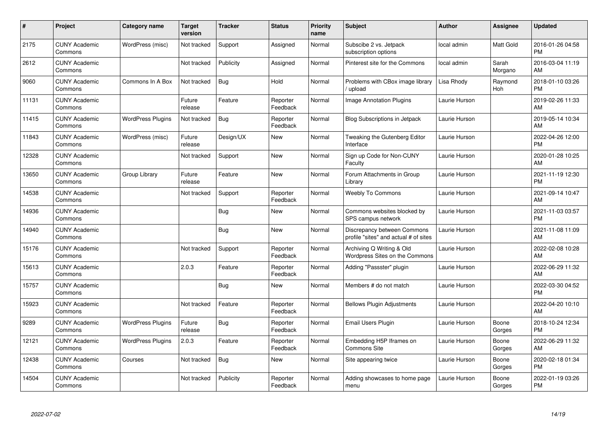| #     | Project                         | <b>Category name</b>     | <b>Target</b><br>version | <b>Tracker</b> | <b>Status</b>        | <b>Priority</b><br>name | <b>Subject</b>                                                       | <b>Author</b> | <b>Assignee</b>  | <b>Updated</b>                |
|-------|---------------------------------|--------------------------|--------------------------|----------------|----------------------|-------------------------|----------------------------------------------------------------------|---------------|------------------|-------------------------------|
| 2175  | <b>CUNY Academic</b><br>Commons | WordPress (misc)         | Not tracked              | Support        | Assigned             | Normal                  | Subscibe 2 vs. Jetpack<br>subscription options                       | local admin   | Matt Gold        | 2016-01-26 04:58<br><b>PM</b> |
| 2612  | <b>CUNY Academic</b><br>Commons |                          | Not tracked              | Publicity      | Assigned             | Normal                  | Pinterest site for the Commons                                       | local admin   | Sarah<br>Morgano | 2016-03-04 11:19<br>AM        |
| 9060  | <b>CUNY Academic</b><br>Commons | Commons In A Box         | Not tracked              | <b>Bug</b>     | Hold                 | Normal                  | Problems with CBox image library<br>upload                           | Lisa Rhody    | Raymond<br>Hoh   | 2018-01-10 03:26<br><b>PM</b> |
| 11131 | <b>CUNY Academic</b><br>Commons |                          | Future<br>release        | Feature        | Reporter<br>Feedback | Normal                  | Image Annotation Plugins                                             | Laurie Hurson |                  | 2019-02-26 11:33<br>AM        |
| 11415 | <b>CUNY Academic</b><br>Commons | <b>WordPress Plugins</b> | Not tracked              | <b>Bug</b>     | Reporter<br>Feedback | Normal                  | <b>Blog Subscriptions in Jetpack</b>                                 | Laurie Hurson |                  | 2019-05-14 10:34<br>AM        |
| 11843 | <b>CUNY Academic</b><br>Commons | WordPress (misc)         | Future<br>release        | Design/UX      | New                  | Normal                  | Tweaking the Gutenberg Editor<br>Interface                           | Laurie Hurson |                  | 2022-04-26 12:00<br><b>PM</b> |
| 12328 | <b>CUNY Academic</b><br>Commons |                          | Not tracked              | Support        | <b>New</b>           | Normal                  | Sign up Code for Non-CUNY<br>Faculty                                 | Laurie Hurson |                  | 2020-01-28 10:25<br>AM        |
| 13650 | <b>CUNY Academic</b><br>Commons | Group Library            | Future<br>release        | Feature        | <b>New</b>           | Normal                  | Forum Attachments in Group<br>Library                                | Laurie Hurson |                  | 2021-11-19 12:30<br><b>PM</b> |
| 14538 | <b>CUNY Academic</b><br>Commons |                          | Not tracked              | Support        | Reporter<br>Feedback | Normal                  | <b>Weebly To Commons</b>                                             | Laurie Hurson |                  | 2021-09-14 10:47<br>AM        |
| 14936 | <b>CUNY Academic</b><br>Commons |                          |                          | Bug            | <b>New</b>           | Normal                  | Commons websites blocked by<br>SPS campus network                    | Laurie Hurson |                  | 2021-11-03 03:57<br><b>PM</b> |
| 14940 | <b>CUNY Academic</b><br>Commons |                          |                          | Bug            | <b>New</b>           | Normal                  | Discrepancy between Commons<br>profile "sites" and actual # of sites | Laurie Hurson |                  | 2021-11-08 11:09<br>AM        |
| 15176 | <b>CUNY Academic</b><br>Commons |                          | Not tracked              | Support        | Reporter<br>Feedback | Normal                  | Archiving Q Writing & Old<br>Wordpress Sites on the Commons          | Laurie Hurson |                  | 2022-02-08 10:28<br>AM        |
| 15613 | <b>CUNY Academic</b><br>Commons |                          | 2.0.3                    | Feature        | Reporter<br>Feedback | Normal                  | Adding "Passster" plugin                                             | Laurie Hurson |                  | 2022-06-29 11:32<br>AM        |
| 15757 | <b>CUNY Academic</b><br>Commons |                          |                          | Bug            | New                  | Normal                  | Members # do not match                                               | Laurie Hurson |                  | 2022-03-30 04:52<br><b>PM</b> |
| 15923 | <b>CUNY Academic</b><br>Commons |                          | Not tracked              | Feature        | Reporter<br>Feedback | Normal                  | <b>Bellows Plugin Adjustments</b>                                    | Laurie Hurson |                  | 2022-04-20 10:10<br>AM        |
| 9289  | <b>CUNY Academic</b><br>Commons | <b>WordPress Plugins</b> | Future<br>release        | Bug            | Reporter<br>Feedback | Normal                  | Email Users Plugin                                                   | Laurie Hurson | Boone<br>Gorges  | 2018-10-24 12:34<br><b>PM</b> |
| 12121 | <b>CUNY Academic</b><br>Commons | <b>WordPress Plugins</b> | 2.0.3                    | Feature        | Reporter<br>Feedback | Normal                  | Embedding H5P Iframes on<br><b>Commons Site</b>                      | Laurie Hurson | Boone<br>Gorges  | 2022-06-29 11:32<br>AM        |
| 12438 | <b>CUNY Academic</b><br>Commons | Courses                  | Not tracked              | Bug            | <b>New</b>           | Normal                  | Site appearing twice                                                 | Laurie Hurson | Boone<br>Gorges  | 2020-02-18 01:34<br><b>PM</b> |
| 14504 | <b>CUNY Academic</b><br>Commons |                          | Not tracked              | Publicity      | Reporter<br>Feedback | Normal                  | Adding showcases to home page<br>menu                                | Laurie Hurson | Boone<br>Gorges  | 2022-01-19 03:26<br><b>PM</b> |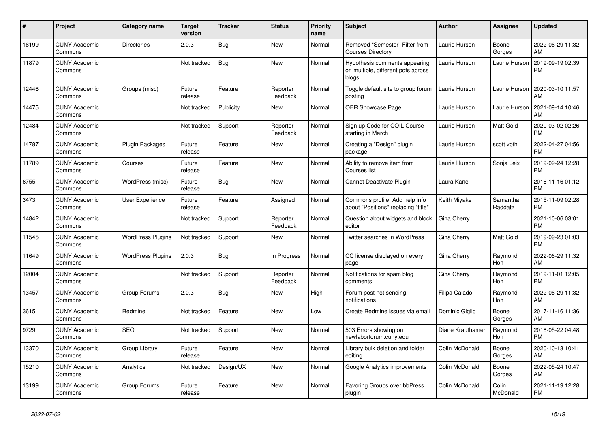| #     | Project                         | Category name            | <b>Target</b><br>version | <b>Tracker</b> | <b>Status</b>        | <b>Priority</b><br>name | <b>Subject</b>                                                               | <b>Author</b>    | Assignee            | <b>Updated</b>                |
|-------|---------------------------------|--------------------------|--------------------------|----------------|----------------------|-------------------------|------------------------------------------------------------------------------|------------------|---------------------|-------------------------------|
| 16199 | <b>CUNY Academic</b><br>Commons | <b>Directories</b>       | 2.0.3                    | <b>Bug</b>     | <b>New</b>           | Normal                  | Removed "Semester" Filter from<br><b>Courses Directory</b>                   | Laurie Hurson    | Boone<br>Gorges     | 2022-06-29 11:32<br>AM        |
| 11879 | <b>CUNY Academic</b><br>Commons |                          | Not tracked              | Bug            | <b>New</b>           | Normal                  | Hypothesis comments appearing<br>on multiple, different pdfs across<br>blogs | Laurie Hurson    | Laurie Hurson       | 2019-09-19 02:39<br><b>PM</b> |
| 12446 | <b>CUNY Academic</b><br>Commons | Groups (misc)            | Future<br>release        | Feature        | Reporter<br>Feedback | Normal                  | Toggle default site to group forum<br>posting                                | Laurie Hurson    | Laurie Hurson       | 2020-03-10 11:57<br>AM        |
| 14475 | <b>CUNY Academic</b><br>Commons |                          | Not tracked              | Publicity      | New                  | Normal                  | <b>OER Showcase Page</b>                                                     | Laurie Hurson    | Laurie Hurson       | 2021-09-14 10:46<br>AM        |
| 12484 | <b>CUNY Academic</b><br>Commons |                          | Not tracked              | Support        | Reporter<br>Feedback | Normal                  | Sign up Code for COIL Course<br>starting in March                            | Laurie Hurson    | Matt Gold           | 2020-03-02 02:26<br><b>PM</b> |
| 14787 | <b>CUNY Academic</b><br>Commons | Plugin Packages          | Future<br>release        | Feature        | New                  | Normal                  | Creating a "Design" plugin<br>package                                        | Laurie Hurson    | scott voth          | 2022-04-27 04:56<br><b>PM</b> |
| 11789 | <b>CUNY Academic</b><br>Commons | Courses                  | Future<br>release        | Feature        | <b>New</b>           | Normal                  | Ability to remove item from<br>Courses list                                  | Laurie Hurson    | Sonja Leix          | 2019-09-24 12:28<br><b>PM</b> |
| 6755  | <b>CUNY Academic</b><br>Commons | WordPress (misc)         | Future<br>release        | <b>Bug</b>     | <b>New</b>           | Normal                  | Cannot Deactivate Plugin                                                     | Laura Kane       |                     | 2016-11-16 01:12<br><b>PM</b> |
| 3473  | <b>CUNY Academic</b><br>Commons | User Experience          | Future<br>release        | Feature        | Assigned             | Normal                  | Commons profile: Add help info<br>about "Positions" replacing "title"        | Keith Miyake     | Samantha<br>Raddatz | 2015-11-09 02:28<br><b>PM</b> |
| 14842 | <b>CUNY Academic</b><br>Commons |                          | Not tracked              | Support        | Reporter<br>Feedback | Normal                  | Question about widgets and block<br>editor                                   | Gina Cherry      |                     | 2021-10-06 03:01<br><b>PM</b> |
| 11545 | <b>CUNY Academic</b><br>Commons | <b>WordPress Plugins</b> | Not tracked              | Support        | <b>New</b>           | Normal                  | <b>Twitter searches in WordPress</b>                                         | Gina Cherry      | Matt Gold           | 2019-09-23 01:03<br><b>PM</b> |
| 11649 | <b>CUNY Academic</b><br>Commons | <b>WordPress Plugins</b> | 2.0.3                    | Bug            | In Progress          | Normal                  | CC license displayed on every<br>page                                        | Gina Cherry      | Raymond<br>Hoh      | 2022-06-29 11:32<br>AM        |
| 12004 | <b>CUNY Academic</b><br>Commons |                          | Not tracked              | Support        | Reporter<br>Feedback | Normal                  | Notifications for spam blog<br>comments                                      | Gina Cherry      | Raymond<br>Hoh      | 2019-11-01 12:05<br><b>PM</b> |
| 13457 | <b>CUNY Academic</b><br>Commons | Group Forums             | 2.0.3                    | Bug            | <b>New</b>           | High                    | Forum post not sending<br>notifications                                      | Filipa Calado    | Raymond<br>Hoh      | 2022-06-29 11:32<br>AM        |
| 3615  | <b>CUNY Academic</b><br>Commons | Redmine                  | Not tracked              | Feature        | <b>New</b>           | Low                     | Create Redmine issues via email                                              | Dominic Giglio   | Boone<br>Gorges     | 2017-11-16 11:36<br>AM        |
| 9729  | <b>CUNY Academic</b><br>Commons | <b>SEO</b>               | Not tracked              | Support        | <b>New</b>           | Normal                  | 503 Errors showing on<br>newlaborforum.cuny.edu                              | Diane Krauthamer | Raymond<br>Hoh      | 2018-05-22 04:48<br><b>PM</b> |
| 13370 | <b>CUNY Academic</b><br>Commons | Group Library            | Future<br>release        | Feature        | <b>New</b>           | Normal                  | Library bulk deletion and folder<br>editing                                  | Colin McDonald   | Boone<br>Gorges     | 2020-10-13 10:41<br>AM        |
| 15210 | <b>CUNY Academic</b><br>Commons | Analytics                | Not tracked              | Design/UX      | New                  | Normal                  | Google Analytics improvements                                                | Colin McDonald   | Boone<br>Gorges     | 2022-05-24 10:47<br>AM        |
| 13199 | <b>CUNY Academic</b><br>Commons | Group Forums             | Future<br>release        | Feature        | <b>New</b>           | Normal                  | Favoring Groups over bbPress<br>plugin                                       | Colin McDonald   | Colin<br>McDonald   | 2021-11-19 12:28<br><b>PM</b> |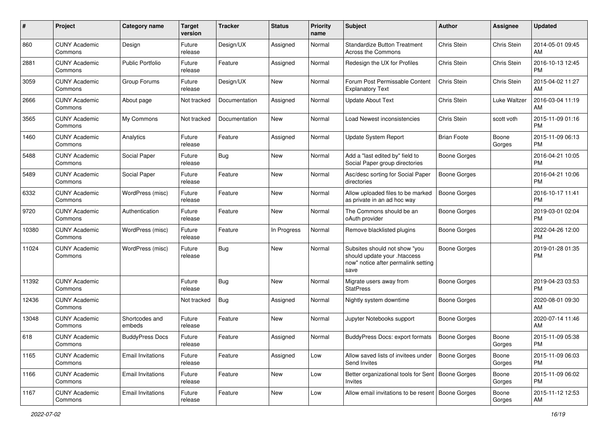| #     | Project                         | <b>Category name</b>     | <b>Target</b><br>version | <b>Tracker</b> | <b>Status</b> | <b>Priority</b><br>name | <b>Subject</b>                                                                                               | <b>Author</b>       | <b>Assignee</b> | <b>Updated</b>                |
|-------|---------------------------------|--------------------------|--------------------------|----------------|---------------|-------------------------|--------------------------------------------------------------------------------------------------------------|---------------------|-----------------|-------------------------------|
| 860   | <b>CUNY Academic</b><br>Commons | Design                   | Future<br>release        | Design/UX      | Assigned      | Normal                  | <b>Standardize Button Treatment</b><br>Across the Commons                                                    | Chris Stein         | Chris Stein     | 2014-05-01 09:45<br>AM.       |
| 2881  | <b>CUNY Academic</b><br>Commons | <b>Public Portfolio</b>  | Future<br>release        | Feature        | Assigned      | Normal                  | Redesign the UX for Profiles                                                                                 | Chris Stein         | Chris Stein     | 2016-10-13 12:45<br><b>PM</b> |
| 3059  | <b>CUNY Academic</b><br>Commons | Group Forums             | Future<br>release        | Design/UX      | New           | Normal                  | Forum Post Permissable Content<br><b>Explanatory Text</b>                                                    | Chris Stein         | Chris Stein     | 2015-04-02 11:27<br>AM        |
| 2666  | <b>CUNY Academic</b><br>Commons | About page               | Not tracked              | Documentation  | Assigned      | Normal                  | <b>Update About Text</b>                                                                                     | Chris Stein         | Luke Waltzer    | 2016-03-04 11:19<br>AM        |
| 3565  | <b>CUNY Academic</b><br>Commons | My Commons               | Not tracked              | Documentation  | New           | Normal                  | Load Newest inconsistencies                                                                                  | Chris Stein         | scott voth      | 2015-11-09 01:16<br><b>PM</b> |
| 1460  | <b>CUNY Academic</b><br>Commons | Analytics                | Future<br>release        | Feature        | Assigned      | Normal                  | Update System Report                                                                                         | <b>Brian Foote</b>  | Boone<br>Gorges | 2015-11-09 06:13<br><b>PM</b> |
| 5488  | <b>CUNY Academic</b><br>Commons | Social Paper             | Future<br>release        | Bug            | New           | Normal                  | Add a "last edited by" field to<br>Social Paper group directories                                            | <b>Boone Gorges</b> |                 | 2016-04-21 10:05<br>PM.       |
| 5489  | <b>CUNY Academic</b><br>Commons | Social Paper             | Future<br>release        | Feature        | New           | Normal                  | Asc/desc sorting for Social Paper<br>directories                                                             | <b>Boone Gorges</b> |                 | 2016-04-21 10:06<br><b>PM</b> |
| 6332  | <b>CUNY Academic</b><br>Commons | WordPress (misc)         | Future<br>release        | Feature        | New           | Normal                  | Allow uploaded files to be marked<br>as private in an ad hoc way                                             | <b>Boone Gorges</b> |                 | 2016-10-17 11:41<br><b>PM</b> |
| 9720  | <b>CUNY Academic</b><br>Commons | Authentication           | Future<br>release        | Feature        | New           | Normal                  | The Commons should be an<br>oAuth provider                                                                   | <b>Boone Gorges</b> |                 | 2019-03-01 02:04<br><b>PM</b> |
| 10380 | <b>CUNY Academic</b><br>Commons | WordPress (misc)         | Future<br>release        | Feature        | In Progress   | Normal                  | Remove blacklisted plugins                                                                                   | <b>Boone Gorges</b> |                 | 2022-04-26 12:00<br><b>PM</b> |
| 11024 | <b>CUNY Academic</b><br>Commons | WordPress (misc)         | Future<br>release        | Bug            | New           | Normal                  | Subsites should not show "you<br>should update your .htaccess<br>now" notice after permalink setting<br>save | Boone Gorges        |                 | 2019-01-28 01:35<br><b>PM</b> |
| 11392 | <b>CUNY Academic</b><br>Commons |                          | Future<br>release        | Bug            | New           | Normal                  | Migrate users away from<br><b>StatPress</b>                                                                  | Boone Gorges        |                 | 2019-04-23 03:53<br>PM.       |
| 12436 | <b>CUNY Academic</b><br>Commons |                          | Not tracked              | Bug            | Assigned      | Normal                  | Nightly system downtime                                                                                      | Boone Gorges        |                 | 2020-08-01 09:30<br>AM        |
| 13048 | <b>CUNY Academic</b><br>Commons | Shortcodes and<br>embeds | Future<br>release        | Feature        | New           | Normal                  | Jupyter Notebooks support                                                                                    | <b>Boone Gorges</b> |                 | 2020-07-14 11:46<br>AM        |
| 618   | <b>CUNY Academic</b><br>Commons | <b>BuddyPress Docs</b>   | Future<br>release        | Feature        | Assigned      | Normal                  | BuddyPress Docs: export formats                                                                              | <b>Boone Gorges</b> | Boone<br>Gorges | 2015-11-09 05:38<br>PM        |
| 1165  | <b>CUNY Academic</b><br>Commons | Email Invitations        | Future<br>release        | Feature        | Assigned      | Low                     | Allow saved lists of invitees under<br>Send Invites                                                          | Boone Gorges        | Boone<br>Gorges | 2015-11-09 06:03<br>PM        |
| 1166  | <b>CUNY Academic</b><br>Commons | <b>Email Invitations</b> | Future<br>release        | Feature        | New           | Low                     | Better organizational tools for Sent   Boone Gorges<br>Invites                                               |                     | Boone<br>Gorges | 2015-11-09 06:02<br><b>PM</b> |
| 1167  | <b>CUNY Academic</b><br>Commons | <b>Email Invitations</b> | Future<br>release        | Feature        | New           | Low                     | Allow email invitations to be resent   Boone Gorges                                                          |                     | Boone<br>Gorges | 2015-11-12 12:53<br>AM        |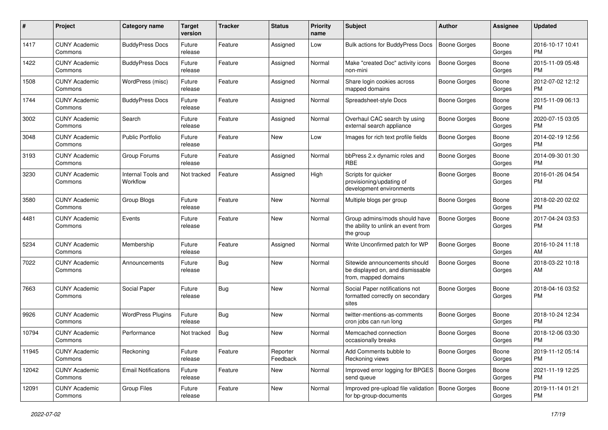| #     | Project                         | <b>Category name</b>           | <b>Target</b><br>version | <b>Tracker</b> | <b>Status</b>        | Priority<br>name | <b>Subject</b>                                                                            | Author              | <b>Assignee</b> | <b>Updated</b>                |
|-------|---------------------------------|--------------------------------|--------------------------|----------------|----------------------|------------------|-------------------------------------------------------------------------------------------|---------------------|-----------------|-------------------------------|
| 1417  | <b>CUNY Academic</b><br>Commons | <b>BuddyPress Docs</b>         | Future<br>release        | Feature        | Assigned             | Low              | Bulk actions for BuddyPress Docs                                                          | <b>Boone Gorges</b> | Boone<br>Gorges | 2016-10-17 10:41<br><b>PM</b> |
| 1422  | <b>CUNY Academic</b><br>Commons | <b>BuddyPress Docs</b>         | Future<br>release        | Feature        | Assigned             | Normal           | Make "created Doc" activity icons<br>non-mini                                             | <b>Boone Gorges</b> | Boone<br>Gorges | 2015-11-09 05:48<br><b>PM</b> |
| 1508  | <b>CUNY Academic</b><br>Commons | WordPress (misc)               | Future<br>release        | Feature        | Assigned             | Normal           | Share login cookies across<br>mapped domains                                              | Boone Gorges        | Boone<br>Gorges | 2012-07-02 12:12<br><b>PM</b> |
| 1744  | <b>CUNY Academic</b><br>Commons | <b>BuddyPress Docs</b>         | Future<br>release        | Feature        | Assigned             | Normal           | Spreadsheet-style Docs                                                                    | <b>Boone Gorges</b> | Boone<br>Gorges | 2015-11-09 06:13<br><b>PM</b> |
| 3002  | <b>CUNY Academic</b><br>Commons | Search                         | Future<br>release        | Feature        | Assigned             | Normal           | Overhaul CAC search by using<br>external search appliance                                 | <b>Boone Gorges</b> | Boone<br>Gorges | 2020-07-15 03:05<br><b>PM</b> |
| 3048  | <b>CUNY Academic</b><br>Commons | <b>Public Portfolio</b>        | Future<br>release        | Feature        | New                  | Low              | Images for rich text profile fields                                                       | <b>Boone Gorges</b> | Boone<br>Gorges | 2014-02-19 12:56<br><b>PM</b> |
| 3193  | <b>CUNY Academic</b><br>Commons | Group Forums                   | Future<br>release        | Feature        | Assigned             | Normal           | bbPress 2.x dynamic roles and<br><b>RBE</b>                                               | <b>Boone Gorges</b> | Boone<br>Gorges | 2014-09-30 01:30<br><b>PM</b> |
| 3230  | <b>CUNY Academic</b><br>Commons | Internal Tools and<br>Workflow | Not tracked              | Feature        | Assigned             | High             | Scripts for quicker<br>provisioning/updating of<br>development environments               | <b>Boone Gorges</b> | Boone<br>Gorges | 2016-01-26 04:54<br><b>PM</b> |
| 3580  | <b>CUNY Academic</b><br>Commons | Group Blogs                    | Future<br>release        | Feature        | <b>New</b>           | Normal           | Multiple blogs per group                                                                  | <b>Boone Gorges</b> | Boone<br>Gorges | 2018-02-20 02:02<br><b>PM</b> |
| 4481  | <b>CUNY Academic</b><br>Commons | Events                         | Future<br>release        | Feature        | New                  | Normal           | Group admins/mods should have<br>the ability to unlink an event from<br>the group         | <b>Boone Gorges</b> | Boone<br>Gorges | 2017-04-24 03:53<br><b>PM</b> |
| 5234  | <b>CUNY Academic</b><br>Commons | Membership                     | Future<br>release        | Feature        | Assigned             | Normal           | Write Unconfirmed patch for WP                                                            | <b>Boone Gorges</b> | Boone<br>Gorges | 2016-10-24 11:18<br>AM        |
| 7022  | <b>CUNY Academic</b><br>Commons | Announcements                  | Future<br>release        | Bug            | New                  | Normal           | Sitewide announcements should<br>be displayed on, and dismissable<br>from, mapped domains | Boone Gorges        | Boone<br>Gorges | 2018-03-22 10:18<br>AM        |
| 7663  | <b>CUNY Academic</b><br>Commons | Social Paper                   | Future<br>release        | Bug            | New                  | Normal           | Social Paper notifications not<br>formatted correctly on secondary<br>sites               | <b>Boone Gorges</b> | Boone<br>Gorges | 2018-04-16 03:52<br><b>PM</b> |
| 9926  | <b>CUNY Academic</b><br>Commons | <b>WordPress Plugins</b>       | Future<br>release        | Bug            | New                  | Normal           | twitter-mentions-as-comments<br>cron jobs can run long                                    | <b>Boone Gorges</b> | Boone<br>Gorges | 2018-10-24 12:34<br><b>PM</b> |
| 10794 | <b>CUNY Academic</b><br>Commons | Performance                    | Not tracked              | Bug            | New                  | Normal           | Memcached connection<br>occasionally breaks                                               | Boone Gorges        | Boone<br>Gorges | 2018-12-06 03:30<br><b>PM</b> |
| 11945 | <b>CUNY Academic</b><br>Commons | Reckoning                      | Future<br>release        | Feature        | Reporter<br>Feedback | Normal           | Add Comments bubble to<br>Reckoning views                                                 | Boone Gorges        | Boone<br>Gorges | 2019-11-12 05:14<br><b>PM</b> |
| 12042 | <b>CUNY Academic</b><br>Commons | <b>Email Notifications</b>     | Future<br>release        | Feature        | New                  | Normal           | Improved error logging for BPGES   Boone Gorges<br>send queue                             |                     | Boone<br>Gorges | 2021-11-19 12:25<br><b>PM</b> |
| 12091 | <b>CUNY Academic</b><br>Commons | Group Files                    | Future<br>release        | Feature        | New                  | Normal           | Improved pre-upload file validation   Boone Gorges<br>for bp-group-documents              |                     | Boone<br>Gorges | 2019-11-14 01:21<br><b>PM</b> |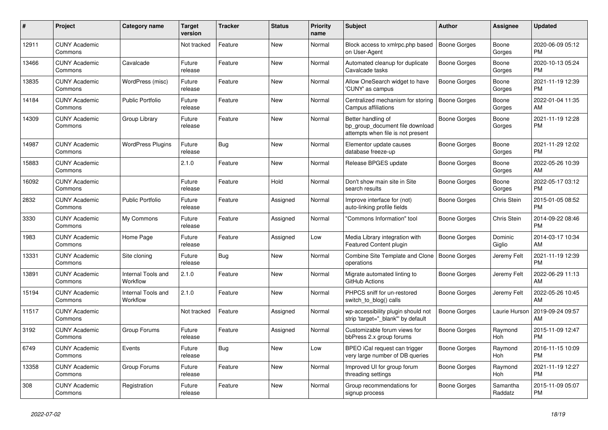| #     | <b>Project</b>                  | Category name                  | <b>Target</b><br>version | <b>Tracker</b> | <b>Status</b> | Priority<br>name | <b>Subject</b>                                                                             | <b>Author</b>       | Assignee            | <b>Updated</b>                |
|-------|---------------------------------|--------------------------------|--------------------------|----------------|---------------|------------------|--------------------------------------------------------------------------------------------|---------------------|---------------------|-------------------------------|
| 12911 | <b>CUNY Academic</b><br>Commons |                                | Not tracked              | Feature        | New           | Normal           | Block access to xmlrpc.php based<br>on User-Agent                                          | <b>Boone Gorges</b> | Boone<br>Gorges     | 2020-06-09 05:12<br><b>PM</b> |
| 13466 | <b>CUNY Academic</b><br>Commons | Cavalcade                      | Future<br>release        | Feature        | New           | Normal           | Automated cleanup for duplicate<br>Cavalcade tasks                                         | Boone Gorges        | Boone<br>Gorges     | 2020-10-13 05:24<br><b>PM</b> |
| 13835 | <b>CUNY Academic</b><br>Commons | WordPress (misc)               | Future<br>release        | Feature        | <b>New</b>    | Normal           | Allow OneSearch widget to have<br>'CUNY' as campus                                         | Boone Gorges        | Boone<br>Gorges     | 2021-11-19 12:39<br><b>PM</b> |
| 14184 | <b>CUNY Academic</b><br>Commons | <b>Public Portfolio</b>        | Future<br>release        | Feature        | <b>New</b>    | Normal           | Centralized mechanism for storing<br>Campus affiliations                                   | <b>Boone Gorges</b> | Boone<br>Gorges     | 2022-01-04 11:35<br>AM        |
| 14309 | <b>CUNY Academic</b><br>Commons | Group Library                  | Future<br>release        | Feature        | New           | Normal           | Better handling of<br>bp_group_document file download<br>attempts when file is not present | Boone Gorges        | Boone<br>Gorges     | 2021-11-19 12:28<br><b>PM</b> |
| 14987 | <b>CUNY Academic</b><br>Commons | <b>WordPress Plugins</b>       | Future<br>release        | Bug            | <b>New</b>    | Normal           | Elementor update causes<br>database freeze-up                                              | Boone Gorges        | Boone<br>Gorges     | 2021-11-29 12:02<br><b>PM</b> |
| 15883 | <b>CUNY Academic</b><br>Commons |                                | 2.1.0                    | Feature        | <b>New</b>    | Normal           | Release BPGES update                                                                       | Boone Gorges        | Boone<br>Gorges     | 2022-05-26 10:39<br>AM        |
| 16092 | <b>CUNY Academic</b><br>Commons |                                | Future<br>release        | Feature        | Hold          | Normal           | Don't show main site in Site<br>search results                                             | Boone Gorges        | Boone<br>Gorges     | 2022-05-17 03:12<br><b>PM</b> |
| 2832  | <b>CUNY Academic</b><br>Commons | <b>Public Portfolio</b>        | Future<br>release        | Feature        | Assigned      | Normal           | Improve interface for (not)<br>auto-linking profile fields                                 | Boone Gorges        | <b>Chris Stein</b>  | 2015-01-05 08:52<br><b>PM</b> |
| 3330  | <b>CUNY Academic</b><br>Commons | My Commons                     | Future<br>release        | Feature        | Assigned      | Normal           | "Commons Information" tool                                                                 | Boone Gorges        | Chris Stein         | 2014-09-22 08:46<br><b>PM</b> |
| 1983  | <b>CUNY Academic</b><br>Commons | Home Page                      | Future<br>release        | Feature        | Assigned      | Low              | Media Library integration with<br><b>Featured Content plugin</b>                           | Boone Gorges        | Dominic<br>Giglio   | 2014-03-17 10:34<br>AM        |
| 13331 | <b>CUNY Academic</b><br>Commons | Site cloning                   | Future<br>release        | Bug            | New           | Normal           | Combine Site Template and Clone   Boone Gorges<br>operations                               |                     | Jeremy Felt         | 2021-11-19 12:39<br><b>PM</b> |
| 13891 | <b>CUNY Academic</b><br>Commons | Internal Tools and<br>Workflow | 2.1.0                    | Feature        | <b>New</b>    | Normal           | Migrate automated linting to<br>GitHub Actions                                             | Boone Gorges        | Jeremy Felt         | 2022-06-29 11:13<br>AM        |
| 15194 | <b>CUNY Academic</b><br>Commons | Internal Tools and<br>Workflow | 2.1.0                    | Feature        | <b>New</b>    | Normal           | PHPCS sniff for un-restored<br>switch to blog() calls                                      | Boone Gorges        | Jeremy Felt         | 2022-05-26 10:45<br>AM        |
| 11517 | <b>CUNY Academic</b><br>Commons |                                | Not tracked              | Feature        | Assigned      | Normal           | wp-accessibility plugin should not<br>strip 'target="_blank"' by default                   | Boone Gorges        | Laurie Hurson       | 2019-09-24 09:57<br>AM        |
| 3192  | <b>CUNY Academic</b><br>Commons | Group Forums                   | Future<br>release        | Feature        | Assigned      | Normal           | Customizable forum views for<br>bbPress 2.x group forums                                   | Boone Gorges        | Raymond<br>Hoh      | 2015-11-09 12:47<br><b>PM</b> |
| 6749  | <b>CUNY Academic</b><br>Commons | Events                         | Future<br>release        | Bug            | <b>New</b>    | Low              | BPEO iCal request can trigger<br>very large number of DB queries                           | Boone Gorges        | Raymond<br>Hoh      | 2016-11-15 10:09<br><b>PM</b> |
| 13358 | <b>CUNY Academic</b><br>Commons | Group Forums                   | Future<br>release        | Feature        | New           | Normal           | Improved UI for group forum<br>threading settings                                          | Boone Gorges        | Raymond<br>Hoh      | 2021-11-19 12:27<br><b>PM</b> |
| 308   | <b>CUNY Academic</b><br>Commons | Registration                   | Future<br>release        | Feature        | <b>New</b>    | Normal           | Group recommendations for<br>signup process                                                | Boone Gorges        | Samantha<br>Raddatz | 2015-11-09 05:07<br><b>PM</b> |